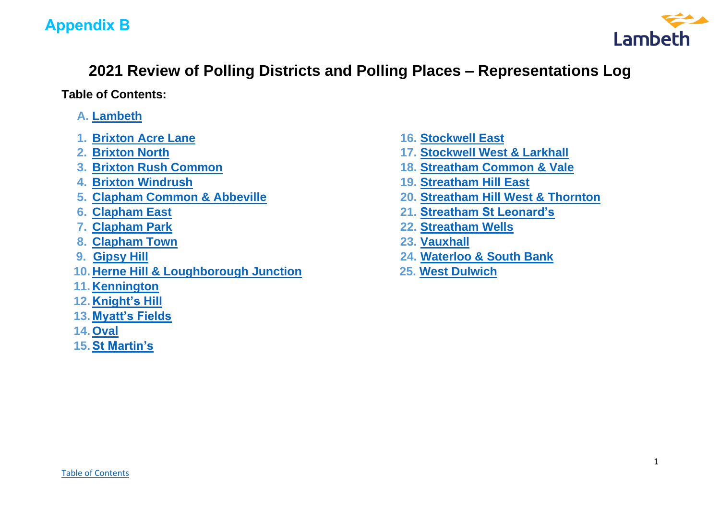# **Appendix B**



# **2021 Review of Polling Districts and Polling Places – Representations Log**

<span id="page-0-0"></span>**Table of Contents:**

- **A. [Lambeth](#page-1-0)**
- **1. [Brixton Acre Lane](#page-1-0) 16. [Stockwell East](#page-20-0)**
- 
- 
- 
- 
- 
- 
- **8. [Clapham Town](#page-5-0) 23. [Vauxhall](#page-27-0)**
- 
- **10. [Herne Hill & Loughborough Junction](#page-7-0) 25. [West Dulwich](#page-28-0)**
- **11. [Kennington](#page-8-0)**
- **12. [Knight's Hill](#page-8-1)**
- **13. [Myatt's Fields](#page-11-0)**
- **14. [Oval](#page-12-0)**
- **15. [St Martin's](#page-19-0)**
- 
- **2. [Brixton North](#page-1-1) 17. [Stockwell West & Larkhall](#page-20-1)**
- **3. [Brixton Rush Common](#page-2-0) 18. [Streatham Common & Vale](#page-20-2)**
- **4. [Brixton Windrush](#page-3-0) 19. [Streatham Hill East](#page-21-0)**
- **5. [Clapham Common & Abbeville](#page-4-0) 20. [Streatham Hill West & Thornton](#page-22-0)**
- **6. [Clapham East](#page-4-1) 21. [Streatham St Leonard's](#page-22-1)**
- **7. [Clapham Park](#page-4-2) 22. [Streatham Wells](#page-22-2)**
	-
- **9. [Gipsy Hill](#page-6-0) 24. [Waterloo & South Bank](#page-27-1)**
	-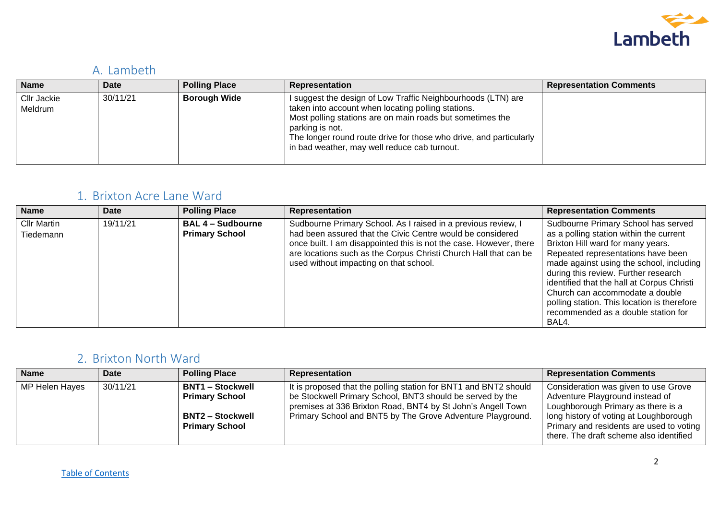

### <span id="page-1-0"></span>A. Lambeth

| <b>Name</b>            | Date     | <b>Polling Place</b> | <b>Representation</b>                                                                                                                                                                                                                                                                                                    | <b>Representation Comments</b> |
|------------------------|----------|----------------------|--------------------------------------------------------------------------------------------------------------------------------------------------------------------------------------------------------------------------------------------------------------------------------------------------------------------------|--------------------------------|
| Cllr Jackie<br>Meldrum | 30/11/21 | <b>Borough Wide</b>  | I suggest the design of Low Traffic Neighbourhoods (LTN) are<br>taken into account when locating polling stations.<br>Most polling stations are on main roads but sometimes the<br>parking is not.<br>The longer round route drive for those who drive, and particularly<br>in bad weather, may well reduce cab turnout. |                                |

#### 1. Brixton Acre Lane Ward

| <b>Name</b>                     | Date     | <b>Polling Place</b>                              | <b>Representation</b>                                                                                                                                                                                                                                                                                           | <b>Representation Comments</b>                                                                                                                                                                                                                                                                                                                                                                                                |
|---------------------------------|----------|---------------------------------------------------|-----------------------------------------------------------------------------------------------------------------------------------------------------------------------------------------------------------------------------------------------------------------------------------------------------------------|-------------------------------------------------------------------------------------------------------------------------------------------------------------------------------------------------------------------------------------------------------------------------------------------------------------------------------------------------------------------------------------------------------------------------------|
| <b>Cllr Martin</b><br>Tiedemann | 19/11/21 | <b>BAL 4 - Sudbourne</b><br><b>Primary School</b> | Sudbourne Primary School. As I raised in a previous review, I<br>had been assured that the Civic Centre would be considered<br>once built. I am disappointed this is not the case. However, there<br>are locations such as the Corpus Christi Church Hall that can be<br>used without impacting on that school. | Sudbourne Primary School has served<br>as a polling station within the current<br>Brixton Hill ward for many years.<br>Repeated representations have been<br>made against using the school, including<br>during this review. Further research<br>identified that the hall at Corpus Christi<br>Church can accommodate a double<br>polling station. This location is therefore<br>recommended as a double station for<br>BAL4. |

#### <span id="page-1-1"></span>2. Brixton North Ward

| <b>Name</b>    | Date     | <b>Polling Place</b>                                                                                 | Representation                                                                                                                                                                                                                                             | <b>Representation Comments</b>                                                                                                                                                                                                                 |
|----------------|----------|------------------------------------------------------------------------------------------------------|------------------------------------------------------------------------------------------------------------------------------------------------------------------------------------------------------------------------------------------------------------|------------------------------------------------------------------------------------------------------------------------------------------------------------------------------------------------------------------------------------------------|
| MP Helen Hayes | 30/11/21 | <b>BNT1 – Stockwell</b><br><b>Primary School</b><br><b>BNT2 – Stockwell</b><br><b>Primary School</b> | It is proposed that the polling station for BNT1 and BNT2 should<br>be Stockwell Primary School, BNT3 should be served by the<br>premises at 336 Brixton Road, BNT4 by St John's Angell Town<br>Primary School and BNT5 by The Grove Adventure Playground. | Consideration was given to use Grove<br>Adventure Playground instead of<br>Loughborough Primary as there is a<br>long history of voting at Loughborough<br>Primary and residents are used to voting<br>there. The draft scheme also identified |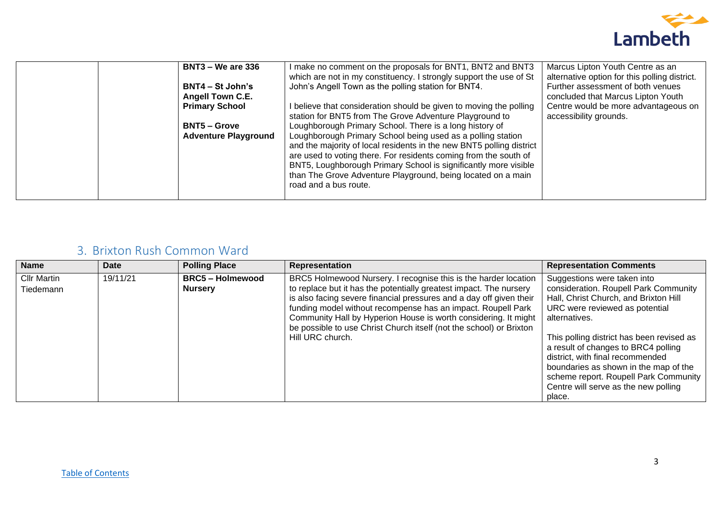

| <b>BNT3 – We are 336</b>                      | I make no comment on the proposals for BNT1, BNT2 and BNT3<br>which are not in my constituency. I strongly support the use of St                                                                                                                                                                                                                                    | Marcus Lipton Youth Centre as an<br>alternative option for this polling district. |
|-----------------------------------------------|---------------------------------------------------------------------------------------------------------------------------------------------------------------------------------------------------------------------------------------------------------------------------------------------------------------------------------------------------------------------|-----------------------------------------------------------------------------------|
| $BNT4 - St John's$<br><b>Angell Town C.E.</b> | John's Angell Town as the polling station for BNT4.                                                                                                                                                                                                                                                                                                                 | Further assessment of both venues<br>concluded that Marcus Lipton Youth           |
| <b>Primary School</b>                         | I believe that consideration should be given to moving the polling<br>station for BNT5 from The Grove Adventure Playground to                                                                                                                                                                                                                                       | Centre would be more advantageous on<br>accessibility grounds.                    |
| <b>BNT5 – Grove</b>                           | Loughborough Primary School. There is a long history of                                                                                                                                                                                                                                                                                                             |                                                                                   |
| <b>Adventure Playground</b>                   | Loughborough Primary School being used as a polling station<br>and the majority of local residents in the new BNT5 polling district<br>are used to voting there. For residents coming from the south of<br>BNT5, Loughborough Primary School is significantly more visible<br>than The Grove Adventure Playground, being located on a main<br>road and a bus route. |                                                                                   |

#### <span id="page-2-0"></span>3. Brixton Rush Common Ward

| <b>Name</b>                     | Date     | <b>Polling Place</b>                      | Representation                                                                                                                                                                                                                                                                                                                                                                                                                             | <b>Representation Comments</b>                                                                                                                                                                                                                                                                                                                                                                                               |
|---------------------------------|----------|-------------------------------------------|--------------------------------------------------------------------------------------------------------------------------------------------------------------------------------------------------------------------------------------------------------------------------------------------------------------------------------------------------------------------------------------------------------------------------------------------|------------------------------------------------------------------------------------------------------------------------------------------------------------------------------------------------------------------------------------------------------------------------------------------------------------------------------------------------------------------------------------------------------------------------------|
| <b>Cllr Martin</b><br>Tiedemann | 19/11/21 | <b>BRC5 - Holmewood</b><br><b>Nursery</b> | BRC5 Holmewood Nursery. I recognise this is the harder location<br>to replace but it has the potentially greatest impact. The nursery<br>is also facing severe financial pressures and a day off given their<br>funding model without recompense has an impact. Roupell Park<br>Community Hall by Hyperion House is worth considering. It might<br>be possible to use Christ Church itself (not the school) or Brixton<br>Hill URC church. | Suggestions were taken into<br>consideration. Roupell Park Community<br>Hall, Christ Church, and Brixton Hill<br>URC were reviewed as potential<br>alternatives.<br>This polling district has been revised as<br>a result of changes to BRC4 polling<br>district, with final recommended<br>boundaries as shown in the map of the<br>scheme report. Roupell Park Community<br>Centre will serve as the new polling<br>place. |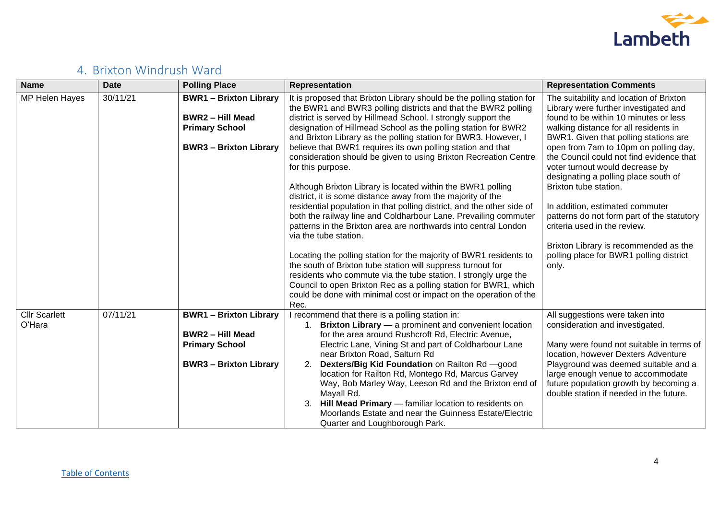

# <span id="page-3-0"></span>4. Brixton Windrush Ward

| <b>Name</b>                    | <b>Date</b> | <b>Polling Place</b>                                                                                           | <b>Representation</b>                                                                                                                                                                                                                                                                                                                                                                                                                                                                                                                                                                                                                                                                                                                                                                                                                                                                                                                                                                                                                                                                                                                                                                                                                | <b>Representation Comments</b>                                                                                                                                                                                                                                                                                                                                                                                                                                                                                                                                                                                     |
|--------------------------------|-------------|----------------------------------------------------------------------------------------------------------------|--------------------------------------------------------------------------------------------------------------------------------------------------------------------------------------------------------------------------------------------------------------------------------------------------------------------------------------------------------------------------------------------------------------------------------------------------------------------------------------------------------------------------------------------------------------------------------------------------------------------------------------------------------------------------------------------------------------------------------------------------------------------------------------------------------------------------------------------------------------------------------------------------------------------------------------------------------------------------------------------------------------------------------------------------------------------------------------------------------------------------------------------------------------------------------------------------------------------------------------|--------------------------------------------------------------------------------------------------------------------------------------------------------------------------------------------------------------------------------------------------------------------------------------------------------------------------------------------------------------------------------------------------------------------------------------------------------------------------------------------------------------------------------------------------------------------------------------------------------------------|
| MP Helen Hayes                 | 30/11/21    | <b>BWR1-Brixton Library</b><br><b>BWR2 - Hill Mead</b><br><b>Primary School</b><br><b>BWR3-Brixton Library</b> | It is proposed that Brixton Library should be the polling station for<br>the BWR1 and BWR3 polling districts and that the BWR2 polling<br>district is served by Hillmead School. I strongly support the<br>designation of Hillmead School as the polling station for BWR2<br>and Brixton Library as the polling station for BWR3. However, I<br>believe that BWR1 requires its own polling station and that<br>consideration should be given to using Brixton Recreation Centre<br>for this purpose.<br>Although Brixton Library is located within the BWR1 polling<br>district, it is some distance away from the majority of the<br>residential population in that polling district, and the other side of<br>both the railway line and Coldharbour Lane. Prevailing commuter<br>patterns in the Brixton area are northwards into central London<br>via the tube station.<br>Locating the polling station for the majority of BWR1 residents to<br>the south of Brixton tube station will suppress turnout for<br>residents who commute via the tube station. I strongly urge the<br>Council to open Brixton Rec as a polling station for BWR1, which<br>could be done with minimal cost or impact on the operation of the<br>Rec. | The suitability and location of Brixton<br>Library were further investigated and<br>found to be within 10 minutes or less<br>walking distance for all residents in<br>BWR1. Given that polling stations are<br>open from 7am to 10pm on polling day,<br>the Council could not find evidence that<br>voter turnout would decrease by<br>designating a polling place south of<br>Brixton tube station.<br>In addition, estimated commuter<br>patterns do not form part of the statutory<br>criteria used in the review.<br>Brixton Library is recommended as the<br>polling place for BWR1 polling district<br>only. |
| <b>Cllr Scarlett</b><br>O'Hara | 07/11/21    | <b>BWR1-Brixton Library</b><br><b>BWR2 - Hill Mead</b><br><b>Primary School</b><br><b>BWR3-Brixton Library</b> | I recommend that there is a polling station in:<br>Brixton Library - a prominent and convenient location<br>for the area around Rushcroft Rd, Electric Avenue,<br>Electric Lane, Vining St and part of Coldharbour Lane<br>near Brixton Road, Salturn Rd<br>Dexters/Big Kid Foundation on Railton Rd - good<br>2.<br>location for Railton Rd, Montego Rd, Marcus Garvey<br>Way, Bob Marley Way, Leeson Rd and the Brixton end of<br>Mayall Rd.<br>3.<br>Hill Mead Primary - familiar location to residents on<br>Moorlands Estate and near the Guinness Estate/Electric<br>Quarter and Loughborough Park.                                                                                                                                                                                                                                                                                                                                                                                                                                                                                                                                                                                                                            | All suggestions were taken into<br>consideration and investigated.<br>Many were found not suitable in terms of<br>location, however Dexters Adventure<br>Playground was deemed suitable and a<br>large enough venue to accommodate<br>future population growth by becoming a<br>double station if needed in the future.                                                                                                                                                                                                                                                                                            |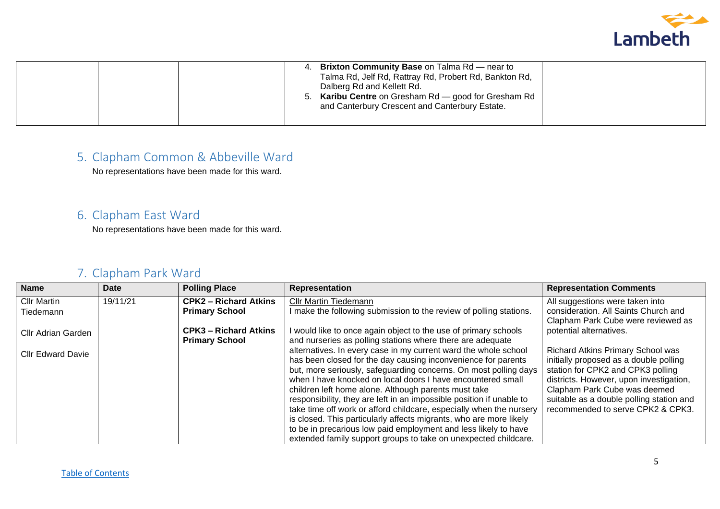

| <b>Brixton Community Base on Talma Rd — near to</b><br>Talma Rd, Jelf Rd, Rattray Rd, Probert Rd, Bankton Rd,<br>Dalberg Rd and Kellett Rd.<br><b>Karibu Centre</b> on Gresham Rd - good for Gresham Rd<br>and Canterbury Crescent and Canterbury Estate. |  |
|-----------------------------------------------------------------------------------------------------------------------------------------------------------------------------------------------------------------------------------------------------------|--|
|-----------------------------------------------------------------------------------------------------------------------------------------------------------------------------------------------------------------------------------------------------------|--|

# <span id="page-4-0"></span>5. Clapham Common & Abbeville Ward

No representations have been made for this ward.

### <span id="page-4-1"></span>6. Clapham East Ward

No representations have been made for this ward.

# <span id="page-4-2"></span>7. Clapham Park Ward

| <b>Name</b>              | <b>Date</b> | <b>Polling Place</b>         | <b>Representation</b>                                                | <b>Representation Comments</b>           |
|--------------------------|-------------|------------------------------|----------------------------------------------------------------------|------------------------------------------|
| <b>Cllr Martin</b>       | 19/11/21    | <b>CPK2 - Richard Atkins</b> | <b>Cllr Martin Tiedemann</b>                                         | All suggestions were taken into          |
| Tiedemann                |             | <b>Primary School</b>        | I make the following submission to the review of polling stations.   | consideration. All Saints Church and     |
|                          |             |                              |                                                                      | Clapham Park Cube were reviewed as       |
| Cllr Adrian Garden       |             | <b>CPK3 - Richard Atkins</b> | I would like to once again object to the use of primary schools      | potential alternatives.                  |
|                          |             | <b>Primary School</b>        | and nurseries as polling stations where there are adequate           |                                          |
| <b>Cllr Edward Davie</b> |             |                              | alternatives. In every case in my current ward the whole school      | <b>Richard Atkins Primary School was</b> |
|                          |             |                              | has been closed for the day causing inconvenience for parents        | initially proposed as a double polling   |
|                          |             |                              | but, more seriously, safeguarding concerns. On most polling days     | station for CPK2 and CPK3 polling        |
|                          |             |                              | when I have knocked on local doors I have encountered small          | districts. However, upon investigation,  |
|                          |             |                              | children left home alone. Although parents must take                 | Clapham Park Cube was deemed             |
|                          |             |                              | responsibility, they are left in an impossible position if unable to | suitable as a double polling station and |
|                          |             |                              | take time off work or afford childcare, especially when the nursery  | recommended to serve CPK2 & CPK3.        |
|                          |             |                              | is closed. This particularly affects migrants, who are more likely   |                                          |
|                          |             |                              | to be in precarious low paid employment and less likely to have      |                                          |
|                          |             |                              | extended family support groups to take on unexpected childcare.      |                                          |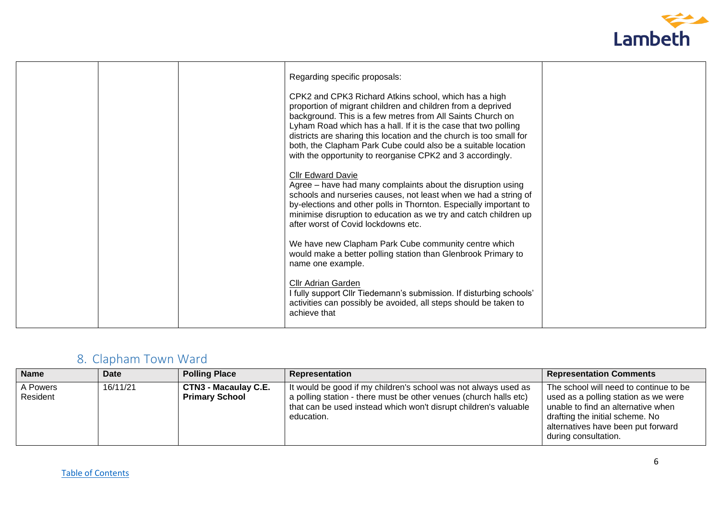

|  | Regarding specific proposals:<br>CPK2 and CPK3 Richard Atkins school, which has a high<br>proportion of migrant children and children from a deprived<br>background. This is a few metres from All Saints Church on<br>Lyham Road which has a hall. If it is the case that two polling<br>districts are sharing this location and the church is too small for<br>both, the Clapham Park Cube could also be a suitable location<br>with the opportunity to reorganise CPK2 and 3 accordingly.<br><b>Cllr Edward Davie</b><br>Agree – have had many complaints about the disruption using<br>schools and nurseries causes, not least when we had a string of<br>by-elections and other polls in Thornton. Especially important to<br>minimise disruption to education as we try and catch children up<br>after worst of Covid lockdowns etc.<br>We have new Clapham Park Cube community centre which<br>would make a better polling station than Glenbrook Primary to<br>name one example.<br>Cllr Adrian Garden<br>I fully support Cllr Tiedemann's submission. If disturbing schools'<br>activities can possibly be avoided, all steps should be taken to |  |
|--|-----------------------------------------------------------------------------------------------------------------------------------------------------------------------------------------------------------------------------------------------------------------------------------------------------------------------------------------------------------------------------------------------------------------------------------------------------------------------------------------------------------------------------------------------------------------------------------------------------------------------------------------------------------------------------------------------------------------------------------------------------------------------------------------------------------------------------------------------------------------------------------------------------------------------------------------------------------------------------------------------------------------------------------------------------------------------------------------------------------------------------------------------------------|--|
|  | achieve that                                                                                                                                                                                                                                                                                                                                                                                                                                                                                                                                                                                                                                                                                                                                                                                                                                                                                                                                                                                                                                                                                                                                              |  |

# <span id="page-5-0"></span>8. Clapham Town Ward

| <b>Name</b>          | Date     | <b>Polling Place</b>                                 | Representation                                                                                                                                                                                                         | <b>Representation Comments</b>                                                                                                                                                                                        |
|----------------------|----------|------------------------------------------------------|------------------------------------------------------------------------------------------------------------------------------------------------------------------------------------------------------------------------|-----------------------------------------------------------------------------------------------------------------------------------------------------------------------------------------------------------------------|
| A Powers<br>Resident | 16/11/21 | <b>CTN3 - Macaulay C.E.</b><br><b>Primary School</b> | It would be good if my children's school was not always used as<br>a polling station - there must be other venues (church halls etc)<br>that can be used instead which won't disrupt children's valuable<br>education. | The school will need to continue to be<br>used as a polling station as we were<br>unable to find an alternative when<br>drafting the initial scheme. No<br>alternatives have been put forward<br>during consultation. |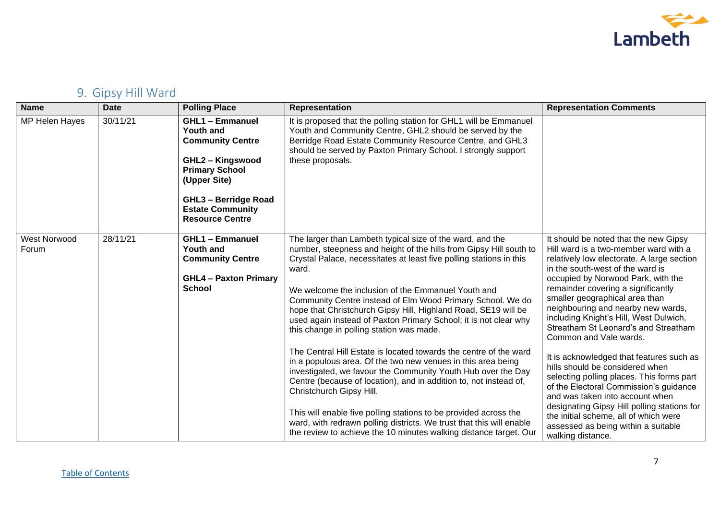

# <span id="page-6-0"></span>9. Gipsy Hill Ward

| <b>Name</b>           | <b>Date</b> | <b>Polling Place</b>                                                                                                                                                                                                          | Representation                                                                                                                                                                                                                                                                                                                                                                                                                                                                                                                                                                                                                                                                                                                                                                                                                                                                                                                                                                                                                               | <b>Representation Comments</b>                                                                                                                                                                                                                                                                                                                                                                                                                                                                                                                                                                                                                                                                                                                                                                |
|-----------------------|-------------|-------------------------------------------------------------------------------------------------------------------------------------------------------------------------------------------------------------------------------|----------------------------------------------------------------------------------------------------------------------------------------------------------------------------------------------------------------------------------------------------------------------------------------------------------------------------------------------------------------------------------------------------------------------------------------------------------------------------------------------------------------------------------------------------------------------------------------------------------------------------------------------------------------------------------------------------------------------------------------------------------------------------------------------------------------------------------------------------------------------------------------------------------------------------------------------------------------------------------------------------------------------------------------------|-----------------------------------------------------------------------------------------------------------------------------------------------------------------------------------------------------------------------------------------------------------------------------------------------------------------------------------------------------------------------------------------------------------------------------------------------------------------------------------------------------------------------------------------------------------------------------------------------------------------------------------------------------------------------------------------------------------------------------------------------------------------------------------------------|
| MP Helen Hayes        | 30/11/21    | <b>GHL1 - Emmanuel</b><br><b>Youth and</b><br><b>Community Centre</b><br><b>GHL2 - Kingswood</b><br><b>Primary School</b><br>(Upper Site)<br><b>GHL3 - Berridge Road</b><br><b>Estate Community</b><br><b>Resource Centre</b> | It is proposed that the polling station for GHL1 will be Emmanuel<br>Youth and Community Centre, GHL2 should be served by the<br>Berridge Road Estate Community Resource Centre, and GHL3<br>should be served by Paxton Primary School. I strongly support<br>these proposals.                                                                                                                                                                                                                                                                                                                                                                                                                                                                                                                                                                                                                                                                                                                                                               |                                                                                                                                                                                                                                                                                                                                                                                                                                                                                                                                                                                                                                                                                                                                                                                               |
| West Norwood<br>Forum | 28/11/21    | <b>GHL1 - Emmanuel</b><br><b>Youth and</b><br><b>Community Centre</b><br><b>GHL4 - Paxton Primary</b><br><b>School</b>                                                                                                        | The larger than Lambeth typical size of the ward, and the<br>number, steepness and height of the hills from Gipsy Hill south to<br>Crystal Palace, necessitates at least five polling stations in this<br>ward.<br>We welcome the inclusion of the Emmanuel Youth and<br>Community Centre instead of Elm Wood Primary School. We do<br>hope that Christchurch Gipsy Hill, Highland Road, SE19 will be<br>used again instead of Paxton Primary School; it is not clear why<br>this change in polling station was made.<br>The Central Hill Estate is located towards the centre of the ward<br>in a populous area. Of the two new venues in this area being<br>investigated, we favour the Community Youth Hub over the Day<br>Centre (because of location), and in addition to, not instead of,<br>Christchurch Gipsy Hill.<br>This will enable five polling stations to be provided across the<br>ward, with redrawn polling districts. We trust that this will enable<br>the review to achieve the 10 minutes walking distance target. Our | It should be noted that the new Gipsy<br>Hill ward is a two-member ward with a<br>relatively low electorate. A large section<br>in the south-west of the ward is<br>occupied by Norwood Park, with the<br>remainder covering a significantly<br>smaller geographical area than<br>neighbouring and nearby new wards,<br>including Knight's Hill, West Dulwich,<br>Streatham St Leonard's and Streatham<br>Common and Vale wards.<br>It is acknowledged that features such as<br>hills should be considered when<br>selecting polling places. This forms part<br>of the Electoral Commission's guidance<br>and was taken into account when<br>designating Gipsy Hill polling stations for<br>the initial scheme, all of which were<br>assessed as being within a suitable<br>walking distance. |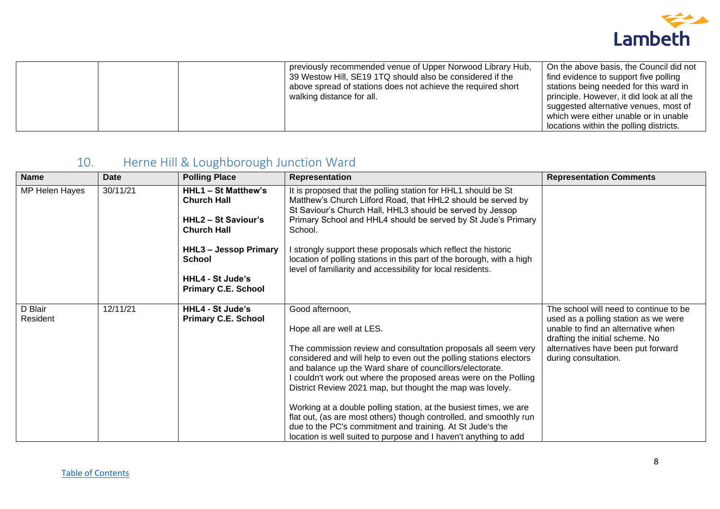

| On the above basis, the Council did not<br>previously recommended venue of Upper Norwood Library Hub,<br>39 Westow Hill, SE19 1TQ should also be considered if the<br>find evidence to support five polling<br>above spread of stations does not achieve the required short<br>stations being needed for this ward in<br>principle. However, it did look at all the<br>walking distance for all.<br>suggested alternative venues, most of<br>which were either unable or in unable |
|------------------------------------------------------------------------------------------------------------------------------------------------------------------------------------------------------------------------------------------------------------------------------------------------------------------------------------------------------------------------------------------------------------------------------------------------------------------------------------|
|------------------------------------------------------------------------------------------------------------------------------------------------------------------------------------------------------------------------------------------------------------------------------------------------------------------------------------------------------------------------------------------------------------------------------------------------------------------------------------|

# <span id="page-7-0"></span>10. Herne Hill & Loughborough Junction Ward

| <b>Name</b>         | <b>Date</b> | <b>Polling Place</b>                                                                            | Representation                                                                                                                                                                                                                                                                                                                                                                                                                                                                                                                                                                                                                                                | <b>Representation Comments</b>                                                                                                                                                                                        |
|---------------------|-------------|-------------------------------------------------------------------------------------------------|---------------------------------------------------------------------------------------------------------------------------------------------------------------------------------------------------------------------------------------------------------------------------------------------------------------------------------------------------------------------------------------------------------------------------------------------------------------------------------------------------------------------------------------------------------------------------------------------------------------------------------------------------------------|-----------------------------------------------------------------------------------------------------------------------------------------------------------------------------------------------------------------------|
| MP Helen Hayes      | 30/11/21    | HHL1 - St Matthew's<br><b>Church Hall</b><br><b>HHL2 - St Saviour's</b><br><b>Church Hall</b>   | It is proposed that the polling station for HHL1 should be St<br>Matthew's Church Lilford Road, that HHL2 should be served by<br>St Saviour's Church Hall, HHL3 should be served by Jessop<br>Primary School and HHL4 should be served by St Jude's Primary<br>School.                                                                                                                                                                                                                                                                                                                                                                                        |                                                                                                                                                                                                                       |
|                     |             | <b>HHL3 - Jessop Primary</b><br>School<br><b>HHL4 - St Jude's</b><br><b>Primary C.E. School</b> | I strongly support these proposals which reflect the historic<br>location of polling stations in this part of the borough, with a high<br>level of familiarity and accessibility for local residents.                                                                                                                                                                                                                                                                                                                                                                                                                                                         |                                                                                                                                                                                                                       |
| D Blair<br>Resident | 12/11/21    | <b>HHL4 - St Jude's</b><br><b>Primary C.E. School</b>                                           | Good afternoon,<br>Hope all are well at LES.<br>The commission review and consultation proposals all seem very<br>considered and will help to even out the polling stations electors<br>and balance up the Ward share of councillors/electorate.<br>I couldn't work out where the proposed areas were on the Polling<br>District Review 2021 map, but thought the map was lovely.<br>Working at a double polling station, at the busiest times, we are<br>flat out, (as are most others) though controlled, and smoothly run<br>due to the PC's commitment and training. At St Jude's the<br>location is well suited to purpose and I haven't anything to add | The school will need to continue to be<br>used as a polling station as we were<br>unable to find an alternative when<br>drafting the initial scheme. No<br>alternatives have been put forward<br>during consultation. |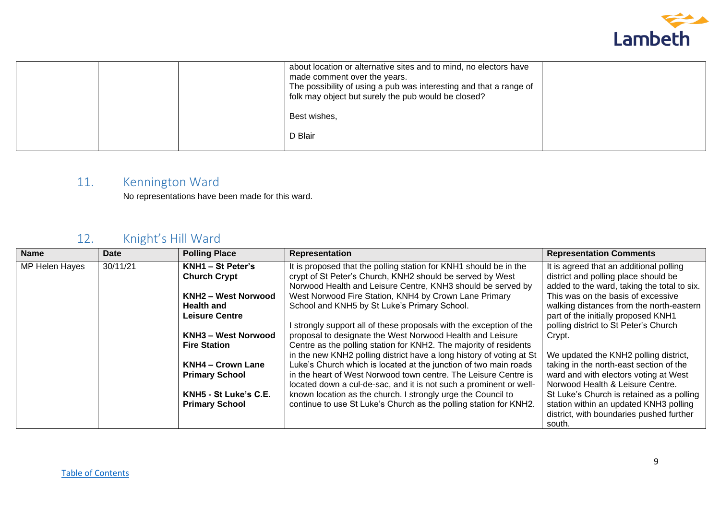

|  | about location or alternative sites and to mind, no electors have<br>made comment over the years.<br>The possibility of using a pub was interesting and that a range of<br>folk may object but surely the pub would be closed? |  |
|--|--------------------------------------------------------------------------------------------------------------------------------------------------------------------------------------------------------------------------------|--|
|  | Best wishes,                                                                                                                                                                                                                   |  |
|  | D Blair                                                                                                                                                                                                                        |  |

# <span id="page-8-0"></span>11. Kennington Ward

No representations have been made for this ward.

# <span id="page-8-1"></span>12. Knight's Hill Ward

| <b>Name</b>    | <b>Date</b> | <b>Polling Place</b>       | <b>Representation</b>                                                | <b>Representation Comments</b>              |
|----------------|-------------|----------------------------|----------------------------------------------------------------------|---------------------------------------------|
| MP Helen Hayes | 30/11/21    | KNH1 - St Peter's          | It is proposed that the polling station for KNH1 should be in the    | It is agreed that an additional polling     |
|                |             | <b>Church Crypt</b>        | crypt of St Peter's Church, KNH2 should be served by West            | district and polling place should be        |
|                |             |                            | Norwood Health and Leisure Centre, KNH3 should be served by          | added to the ward, taking the total to six. |
|                |             | <b>KNH2 - West Norwood</b> | West Norwood Fire Station, KNH4 by Crown Lane Primary                | This was on the basis of excessive          |
|                |             | <b>Health and</b>          | School and KNH5 by St Luke's Primary School.                         | walking distances from the north-eastern    |
|                |             | <b>Leisure Centre</b>      |                                                                      | part of the initially proposed KNH1         |
|                |             |                            | I strongly support all of these proposals with the exception of the  | polling district to St Peter's Church       |
|                |             | <b>KNH3 - West Norwood</b> | proposal to designate the West Norwood Health and Leisure            | Crypt.                                      |
|                |             | <b>Fire Station</b>        | Centre as the polling station for KNH2. The majority of residents    |                                             |
|                |             |                            | in the new KNH2 polling district have a long history of voting at St | We updated the KNH2 polling district,       |
|                |             | <b>KNH4 - Crown Lane</b>   | Luke's Church which is located at the junction of two main roads     | taking in the north-east section of the     |
|                |             | <b>Primary School</b>      | in the heart of West Norwood town centre. The Leisure Centre is      | ward and with electors voting at West       |
|                |             |                            | located down a cul-de-sac, and it is not such a prominent or well-   | Norwood Health & Leisure Centre.            |
|                |             | KNH5 - St Luke's C.E.      | known location as the church. I strongly urge the Council to         | St Luke's Church is retained as a polling   |
|                |             | <b>Primary School</b>      | continue to use St Luke's Church as the polling station for KNH2.    | station within an updated KNH3 polling      |
|                |             |                            |                                                                      | district, with boundaries pushed further    |
|                |             |                            |                                                                      | south.                                      |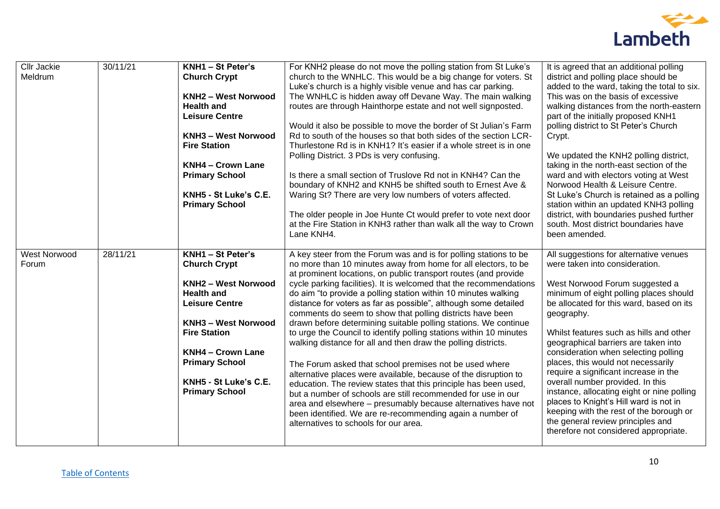

| <b>Cllr Jackie</b><br>Meldrum | 30/11/21 | KNH1 - St Peter's<br><b>Church Crypt</b><br><b>KNH2 - West Norwood</b><br><b>Health and</b><br><b>Leisure Centre</b><br>KNH3 - West Norwood<br><b>Fire Station</b><br><b>KNH4 - Crown Lane</b><br><b>Primary School</b><br>KNH5 - St Luke's C.E.<br><b>Primary School</b>        | For KNH2 please do not move the polling station from St Luke's<br>church to the WNHLC. This would be a big change for voters. St<br>Luke's church is a highly visible venue and has car parking.<br>The WNHLC is hidden away off Devane Way. The main walking<br>routes are through Hainthorpe estate and not well signposted.<br>Would it also be possible to move the border of St Julian's Farm<br>Rd to south of the houses so that both sides of the section LCR-<br>Thurlestone Rd is in KNH1? It's easier if a whole street is in one<br>Polling District. 3 PDs is very confusing.<br>Is there a small section of Truslove Rd not in KNH4? Can the<br>boundary of KNH2 and KNH5 be shifted south to Ernest Ave &<br>Waring St? There are very low numbers of voters affected.<br>The older people in Joe Hunte Ct would prefer to vote next door<br>at the Fire Station in KNH3 rather than walk all the way to Crown<br>Lane KNH4.                                                                                                                                                                                    | It is agreed that an additional polling<br>district and polling place should be<br>added to the ward, taking the total to six.<br>This was on the basis of excessive<br>walking distances from the north-eastern<br>part of the initially proposed KNH1<br>polling district to St Peter's Church<br>Crypt.<br>We updated the KNH2 polling district,<br>taking in the north-east section of the<br>ward and with electors voting at West<br>Norwood Health & Leisure Centre.<br>St Luke's Church is retained as a polling<br>station within an updated KNH3 polling<br>district, with boundaries pushed further<br>south. Most district boundaries have<br>been amended.       |
|-------------------------------|----------|----------------------------------------------------------------------------------------------------------------------------------------------------------------------------------------------------------------------------------------------------------------------------------|--------------------------------------------------------------------------------------------------------------------------------------------------------------------------------------------------------------------------------------------------------------------------------------------------------------------------------------------------------------------------------------------------------------------------------------------------------------------------------------------------------------------------------------------------------------------------------------------------------------------------------------------------------------------------------------------------------------------------------------------------------------------------------------------------------------------------------------------------------------------------------------------------------------------------------------------------------------------------------------------------------------------------------------------------------------------------------------------------------------------------------|-------------------------------------------------------------------------------------------------------------------------------------------------------------------------------------------------------------------------------------------------------------------------------------------------------------------------------------------------------------------------------------------------------------------------------------------------------------------------------------------------------------------------------------------------------------------------------------------------------------------------------------------------------------------------------|
| West Norwood<br>Forum         | 28/11/21 | KNH1 - St Peter's<br><b>Church Crypt</b><br><b>KNH2 - West Norwood</b><br><b>Health and</b><br><b>Leisure Centre</b><br><b>KNH3 - West Norwood</b><br><b>Fire Station</b><br><b>KNH4 - Crown Lane</b><br><b>Primary School</b><br>KNH5 - St Luke's C.E.<br><b>Primary School</b> | A key steer from the Forum was and is for polling stations to be<br>no more than 10 minutes away from home for all electors, to be<br>at prominent locations, on public transport routes (and provide<br>cycle parking facilities). It is welcomed that the recommendations<br>do aim "to provide a polling station within 10 minutes walking<br>distance for voters as far as possible", although some detailed<br>comments do seem to show that polling districts have been<br>drawn before determining suitable polling stations. We continue<br>to urge the Council to identify polling stations within 10 minutes<br>walking distance for all and then draw the polling districts.<br>The Forum asked that school premises not be used where<br>alternative places were available, because of the disruption to<br>education. The review states that this principle has been used,<br>but a number of schools are still recommended for use in our<br>area and elsewhere - presumably because alternatives have not<br>been identified. We are re-recommending again a number of<br>alternatives to schools for our area. | All suggestions for alternative venues<br>were taken into consideration.<br>West Norwood Forum suggested a<br>minimum of eight polling places should<br>be allocated for this ward, based on its<br>geography.<br>Whilst features such as hills and other<br>geographical barriers are taken into<br>consideration when selecting polling<br>places, this would not necessarily<br>require a significant increase in the<br>overall number provided. In this<br>instance, allocating eight or nine polling<br>places to Knight's Hill ward is not in<br>keeping with the rest of the borough or<br>the general review principles and<br>therefore not considered appropriate. |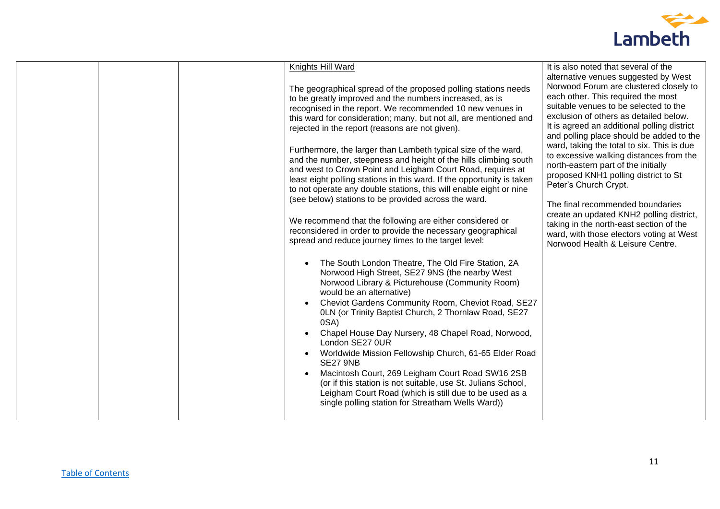

| Knights Hill Ward<br>It is also noted that several of the<br>alternative venues suggested by West<br>Norwood Forum are clustered closely to<br>The geographical spread of the proposed polling stations needs<br>each other. This required the most<br>to be greatly improved and the numbers increased, as is<br>suitable venues to be selected to the<br>recognised in the report. We recommended 10 new venues in<br>exclusion of others as detailed below.<br>this ward for consideration; many, but not all, are mentioned and<br>It is agreed an additional polling district<br>rejected in the report (reasons are not given).<br>and polling place should be added to the<br>ward, taking the total to six. This is due<br>Furthermore, the larger than Lambeth typical size of the ward,<br>to excessive walking distances from the<br>and the number, steepness and height of the hills climbing south<br>north-eastern part of the initially<br>and west to Crown Point and Leigham Court Road, requires at<br>proposed KNH1 polling district to St<br>least eight polling stations in this ward. If the opportunity is taken<br>Peter's Church Crypt.<br>to not operate any double stations, this will enable eight or nine<br>(see below) stations to be provided across the ward.<br>The final recommended boundaries<br>create an updated KNH2 polling district,<br>We recommend that the following are either considered or<br>taking in the north-east section of the<br>reconsidered in order to provide the necessary geographical<br>ward, with those electors voting at West<br>spread and reduce journey times to the target level:<br>Norwood Health & Leisure Centre.<br>The South London Theatre, The Old Fire Station, 2A<br>Norwood High Street, SE27 9NS (the nearby West<br>Norwood Library & Picturehouse (Community Room)<br>would be an alternative)<br>Cheviot Gardens Community Room, Cheviot Road, SE27<br>0LN (or Trinity Baptist Church, 2 Thornlaw Road, SE27<br>0SA)<br>Chapel House Day Nursery, 48 Chapel Road, Norwood,<br>London SE27 0UR<br>Worldwide Mission Fellowship Church, 61-65 Elder Road<br><b>SE27 9NB</b><br>Macintosh Court, 269 Leigham Court Road SW16 2SB<br>(or if this station is not suitable, use St. Julians School,<br>Leigham Court Road (which is still due to be used as a<br>single polling station for Streatham Wells Ward)) |  |  |  |
|-----------------------------------------------------------------------------------------------------------------------------------------------------------------------------------------------------------------------------------------------------------------------------------------------------------------------------------------------------------------------------------------------------------------------------------------------------------------------------------------------------------------------------------------------------------------------------------------------------------------------------------------------------------------------------------------------------------------------------------------------------------------------------------------------------------------------------------------------------------------------------------------------------------------------------------------------------------------------------------------------------------------------------------------------------------------------------------------------------------------------------------------------------------------------------------------------------------------------------------------------------------------------------------------------------------------------------------------------------------------------------------------------------------------------------------------------------------------------------------------------------------------------------------------------------------------------------------------------------------------------------------------------------------------------------------------------------------------------------------------------------------------------------------------------------------------------------------------------------------------------------------------------------------------------------------------------------------------------------------------------------------------------------------------------------------------------------------------------------------------------------------------------------------------------------------------------------------------------------------------------------------------------------------------------------------------------------------------------------------------------------------------------------|--|--|--|
|                                                                                                                                                                                                                                                                                                                                                                                                                                                                                                                                                                                                                                                                                                                                                                                                                                                                                                                                                                                                                                                                                                                                                                                                                                                                                                                                                                                                                                                                                                                                                                                                                                                                                                                                                                                                                                                                                                                                                                                                                                                                                                                                                                                                                                                                                                                                                                                                     |  |  |  |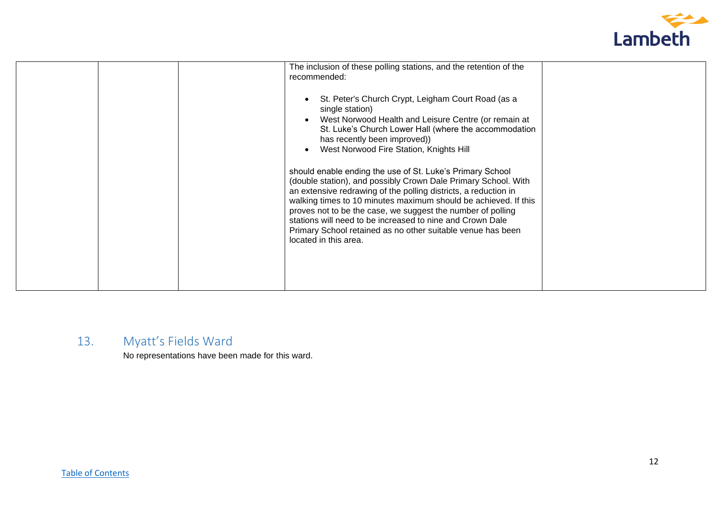

|  | The inclusion of these polling stations, and the retention of the<br>recommended:<br>St. Peter's Church Crypt, Leigham Court Road (as a<br>single station)<br>West Norwood Health and Leisure Centre (or remain at<br>St. Luke's Church Lower Hall (where the accommodation<br>has recently been improved))<br>West Norwood Fire Station, Knights Hill<br>should enable ending the use of St. Luke's Primary School<br>(double station), and possibly Crown Dale Primary School. With<br>an extensive redrawing of the polling districts, a reduction in<br>walking times to 10 minutes maximum should be achieved. If this<br>proves not to be the case, we suggest the number of polling<br>stations will need to be increased to nine and Crown Dale<br>Primary School retained as no other suitable venue has been<br>located in this area. |
|--|-------------------------------------------------------------------------------------------------------------------------------------------------------------------------------------------------------------------------------------------------------------------------------------------------------------------------------------------------------------------------------------------------------------------------------------------------------------------------------------------------------------------------------------------------------------------------------------------------------------------------------------------------------------------------------------------------------------------------------------------------------------------------------------------------------------------------------------------------|
|--|-------------------------------------------------------------------------------------------------------------------------------------------------------------------------------------------------------------------------------------------------------------------------------------------------------------------------------------------------------------------------------------------------------------------------------------------------------------------------------------------------------------------------------------------------------------------------------------------------------------------------------------------------------------------------------------------------------------------------------------------------------------------------------------------------------------------------------------------------|

# <span id="page-11-0"></span>13. Myatt's Fields Ward

No representations have been made for this ward.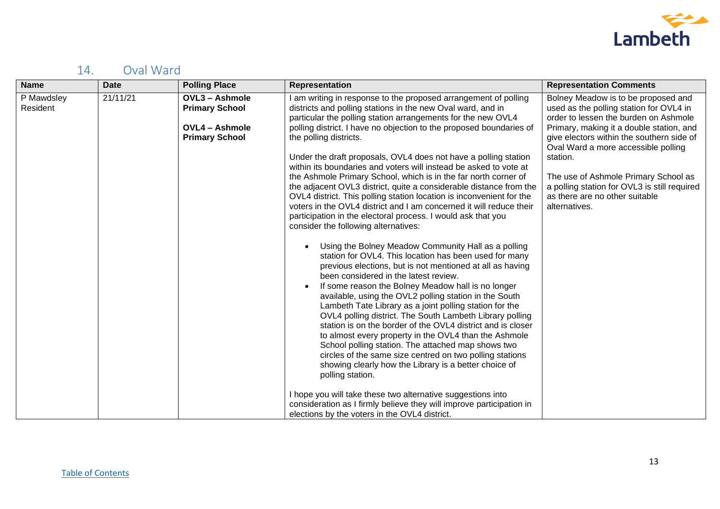

# <span id="page-12-0"></span>14. Oval Ward

| <b>Name</b>            | <b>Date</b> | <b>Polling Place</b>                                                                             | <b>Representation</b>                                                                                                                                                                                                                                                                                                                                                                                                                                                                                                                                                                                                                                                                                                                                                                                                                                                                                                                                                                                                                                                                                                                                                                                                                                                                                                                                                                                                                                                                                                                                                                                                                                                                                                                                             | <b>Representation Comments</b>                                                                                                                                                                                                                                                                                                                                                                                 |
|------------------------|-------------|--------------------------------------------------------------------------------------------------|-------------------------------------------------------------------------------------------------------------------------------------------------------------------------------------------------------------------------------------------------------------------------------------------------------------------------------------------------------------------------------------------------------------------------------------------------------------------------------------------------------------------------------------------------------------------------------------------------------------------------------------------------------------------------------------------------------------------------------------------------------------------------------------------------------------------------------------------------------------------------------------------------------------------------------------------------------------------------------------------------------------------------------------------------------------------------------------------------------------------------------------------------------------------------------------------------------------------------------------------------------------------------------------------------------------------------------------------------------------------------------------------------------------------------------------------------------------------------------------------------------------------------------------------------------------------------------------------------------------------------------------------------------------------------------------------------------------------------------------------------------------------|----------------------------------------------------------------------------------------------------------------------------------------------------------------------------------------------------------------------------------------------------------------------------------------------------------------------------------------------------------------------------------------------------------------|
| P Mawdsley<br>Resident | 21/11/21    | <b>OVL3 - Ashmole</b><br><b>Primary School</b><br><b>OVL4 - Ashmole</b><br><b>Primary School</b> | am writing in response to the proposed arrangement of polling<br>districts and polling stations in the new Oval ward, and in<br>particular the polling station arrangements for the new OVL4<br>polling district. I have no objection to the proposed boundaries of<br>the polling districts.<br>Under the draft proposals, OVL4 does not have a polling station<br>within its boundaries and voters will instead be asked to vote at<br>the Ashmole Primary School, which is in the far north corner of<br>the adjacent OVL3 district, quite a considerable distance from the<br>OVL4 district. This polling station location is inconvenient for the<br>voters in the OVL4 district and I am concerned it will reduce their<br>participation in the electoral process. I would ask that you<br>consider the following alternatives:<br>Using the Bolney Meadow Community Hall as a polling<br>station for OVL4. This location has been used for many<br>previous elections, but is not mentioned at all as having<br>been considered in the latest review.<br>If some reason the Bolney Meadow hall is no longer<br>available, using the OVL2 polling station in the South<br>Lambeth Tate Library as a joint polling station for the<br>OVL4 polling district. The South Lambeth Library polling<br>station is on the border of the OVL4 district and is closer<br>to almost every property in the OVL4 than the Ashmole<br>School polling station. The attached map shows two<br>circles of the same size centred on two polling stations<br>showing clearly how the Library is a better choice of<br>polling station.<br>I hope you will take these two alternative suggestions into<br>consideration as I firmly believe they will improve participation in | Bolney Meadow is to be proposed and<br>used as the polling station for OVL4 in<br>order to lessen the burden on Ashmole<br>Primary, making it a double station, and<br>give electors within the southern side of<br>Oval Ward a more accessible polling<br>station.<br>The use of Ashmole Primary School as<br>a polling station for OVL3 is still required<br>as there are no other suitable<br>alternatives. |
|                        |             |                                                                                                  | elections by the voters in the OVL4 district.                                                                                                                                                                                                                                                                                                                                                                                                                                                                                                                                                                                                                                                                                                                                                                                                                                                                                                                                                                                                                                                                                                                                                                                                                                                                                                                                                                                                                                                                                                                                                                                                                                                                                                                     |                                                                                                                                                                                                                                                                                                                                                                                                                |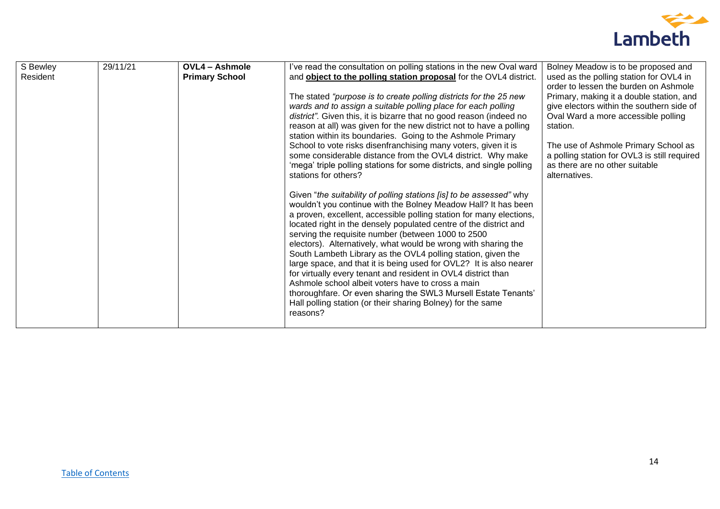

| S Bewley | 29/11/21 | <b>OVL4 - Ashmole</b> | I've read the consultation on polling stations in the new Oval ward   | Bolney Meadow is to be proposed and          |
|----------|----------|-----------------------|-----------------------------------------------------------------------|----------------------------------------------|
| Resident |          | <b>Primary School</b> | and object to the polling station proposal for the OVL4 district.     | used as the polling station for OVL4 in      |
|          |          |                       |                                                                       | order to lessen the burden on Ashmole        |
|          |          |                       | The stated "purpose is to create polling districts for the 25 new     | Primary, making it a double station, and     |
|          |          |                       | wards and to assign a suitable polling place for each polling         | give electors within the southern side of    |
|          |          |                       | district". Given this, it is bizarre that no good reason (indeed no   | Oval Ward a more accessible polling          |
|          |          |                       | reason at all) was given for the new district not to have a polling   | station.                                     |
|          |          |                       | station within its boundaries. Going to the Ashmole Primary           |                                              |
|          |          |                       | School to vote risks disenfranchising many voters, given it is        | The use of Ashmole Primary School as         |
|          |          |                       | some considerable distance from the OVL4 district. Why make           | a polling station for OVL3 is still required |
|          |          |                       | 'mega' triple polling stations for some districts, and single polling | as there are no other suitable               |
|          |          |                       | stations for others?                                                  | alternatives.                                |
|          |          |                       | Given "the suitability of polling stations [is] to be assessed" why   |                                              |
|          |          |                       | wouldn't you continue with the Bolney Meadow Hall? It has been        |                                              |
|          |          |                       | a proven, excellent, accessible polling station for many elections,   |                                              |
|          |          |                       | located right in the densely populated centre of the district and     |                                              |
|          |          |                       | serving the requisite number (between 1000 to 2500                    |                                              |
|          |          |                       | electors). Alternatively, what would be wrong with sharing the        |                                              |
|          |          |                       | South Lambeth Library as the OVL4 polling station, given the          |                                              |
|          |          |                       | large space, and that it is being used for OVL2? It is also nearer    |                                              |
|          |          |                       | for virtually every tenant and resident in OVL4 district than         |                                              |
|          |          |                       | Ashmole school albeit voters have to cross a main                     |                                              |
|          |          |                       | thoroughfare. Or even sharing the SWL3 Mursell Estate Tenants'        |                                              |
|          |          |                       | Hall polling station (or their sharing Bolney) for the same           |                                              |
|          |          |                       | reasons?                                                              |                                              |
|          |          |                       |                                                                       |                                              |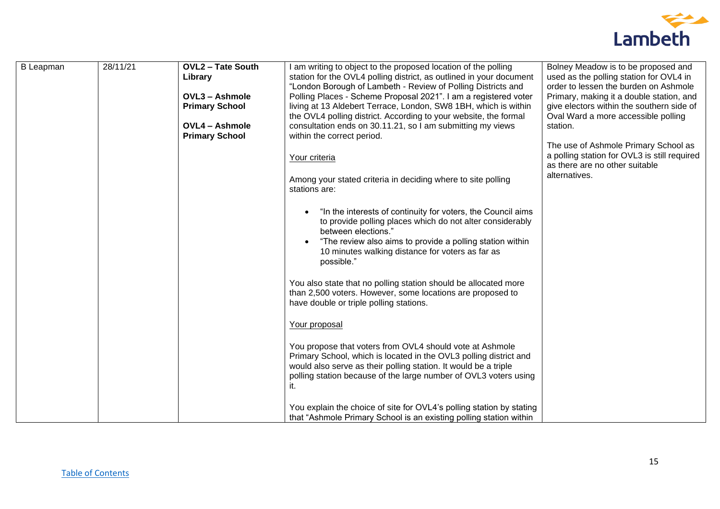

| <b>B</b> Leapman | 28/11/21 | <b>OVL2 - Tate South</b> | I am writing to object to the proposed location of the polling            | Bolney Meadow is to be proposed and          |
|------------------|----------|--------------------------|---------------------------------------------------------------------------|----------------------------------------------|
|                  |          | Library                  | station for the OVL4 polling district, as outlined in your document       | used as the polling station for OVL4 in      |
|                  |          |                          | "London Borough of Lambeth - Review of Polling Districts and              | order to lessen the burden on Ashmole        |
|                  |          | <b>OVL3 - Ashmole</b>    | Polling Places - Scheme Proposal 2021". I am a registered voter           | Primary, making it a double station, and     |
|                  |          | <b>Primary School</b>    | living at 13 Aldebert Terrace, London, SW8 1BH, which is within           | give electors within the southern side of    |
|                  |          |                          | the OVL4 polling district. According to your website, the formal          | Oval Ward a more accessible polling          |
|                  |          | <b>OVL4 - Ashmole</b>    | consultation ends on 30.11.21, so I am submitting my views                | station.                                     |
|                  |          | <b>Primary School</b>    | within the correct period.                                                |                                              |
|                  |          |                          |                                                                           | The use of Ashmole Primary School as         |
|                  |          |                          | Your criteria                                                             | a polling station for OVL3 is still required |
|                  |          |                          |                                                                           | as there are no other suitable               |
|                  |          |                          |                                                                           | alternatives.                                |
|                  |          |                          | Among your stated criteria in deciding where to site polling              |                                              |
|                  |          |                          | stations are:                                                             |                                              |
|                  |          |                          |                                                                           |                                              |
|                  |          |                          | "In the interests of continuity for voters, the Council aims<br>$\bullet$ |                                              |
|                  |          |                          | to provide polling places which do not alter considerably                 |                                              |
|                  |          |                          | between elections."                                                       |                                              |
|                  |          |                          | "The review also aims to provide a polling station within                 |                                              |
|                  |          |                          | 10 minutes walking distance for voters as far as                          |                                              |
|                  |          |                          | possible."                                                                |                                              |
|                  |          |                          |                                                                           |                                              |
|                  |          |                          | You also state that no polling station should be allocated more           |                                              |
|                  |          |                          | than 2,500 voters. However, some locations are proposed to                |                                              |
|                  |          |                          | have double or triple polling stations.                                   |                                              |
|                  |          |                          |                                                                           |                                              |
|                  |          |                          | Your proposal                                                             |                                              |
|                  |          |                          |                                                                           |                                              |
|                  |          |                          | You propose that voters from OVL4 should vote at Ashmole                  |                                              |
|                  |          |                          | Primary School, which is located in the OVL3 polling district and         |                                              |
|                  |          |                          | would also serve as their polling station. It would be a triple           |                                              |
|                  |          |                          | polling station because of the large number of OVL3 voters using          |                                              |
|                  |          |                          | it.                                                                       |                                              |
|                  |          |                          |                                                                           |                                              |
|                  |          |                          | You explain the choice of site for OVL4's polling station by stating      |                                              |
|                  |          |                          | that "Ashmole Primary School is an existing polling station within        |                                              |
|                  |          |                          |                                                                           |                                              |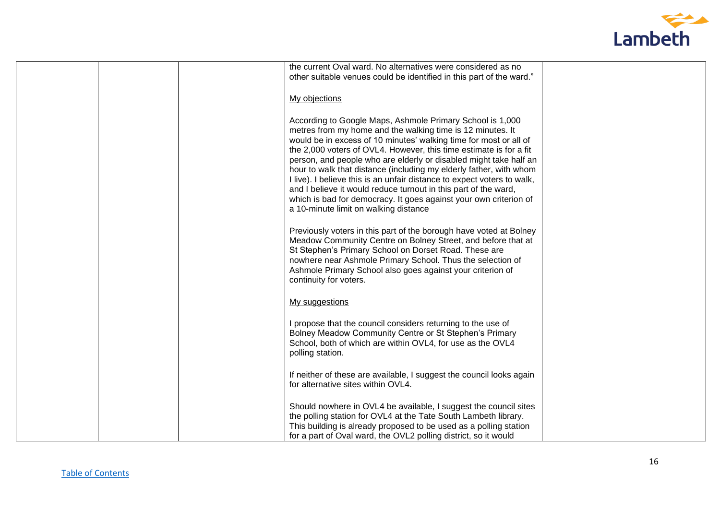

|  | the current Oval ward. No alternatives were considered as no            |  |
|--|-------------------------------------------------------------------------|--|
|  | other suitable venues could be identified in this part of the ward."    |  |
|  |                                                                         |  |
|  | My objections                                                           |  |
|  |                                                                         |  |
|  |                                                                         |  |
|  | According to Google Maps, Ashmole Primary School is 1,000               |  |
|  | metres from my home and the walking time is 12 minutes. It              |  |
|  | would be in excess of 10 minutes' walking time for most or all of       |  |
|  | the 2,000 voters of OVL4. However, this time estimate is for a fit      |  |
|  | person, and people who are elderly or disabled might take half an       |  |
|  | hour to walk that distance (including my elderly father, with whom      |  |
|  |                                                                         |  |
|  | I live). I believe this is an unfair distance to expect voters to walk, |  |
|  | and I believe it would reduce turnout in this part of the ward,         |  |
|  | which is bad for democracy. It goes against your own criterion of       |  |
|  | a 10-minute limit on walking distance                                   |  |
|  |                                                                         |  |
|  | Previously voters in this part of the borough have voted at Bolney      |  |
|  | Meadow Community Centre on Bolney Street, and before that at            |  |
|  | St Stephen's Primary School on Dorset Road. These are                   |  |
|  | nowhere near Ashmole Primary School. Thus the selection of              |  |
|  |                                                                         |  |
|  | Ashmole Primary School also goes against your criterion of              |  |
|  | continuity for voters.                                                  |  |
|  |                                                                         |  |
|  | My suggestions                                                          |  |
|  |                                                                         |  |
|  | I propose that the council considers returning to the use of            |  |
|  | Bolney Meadow Community Centre or St Stephen's Primary                  |  |
|  |                                                                         |  |
|  | School, both of which are within OVL4, for use as the OVL4              |  |
|  | polling station.                                                        |  |
|  |                                                                         |  |
|  | If neither of these are available, I suggest the council looks again    |  |
|  | for alternative sites within OVL4.                                      |  |
|  |                                                                         |  |
|  |                                                                         |  |
|  | Should nowhere in OVL4 be available, I suggest the council sites        |  |
|  | the polling station for OVL4 at the Tate South Lambeth library.         |  |
|  | This building is already proposed to be used as a polling station       |  |
|  | for a part of Oval ward, the OVL2 polling district, so it would         |  |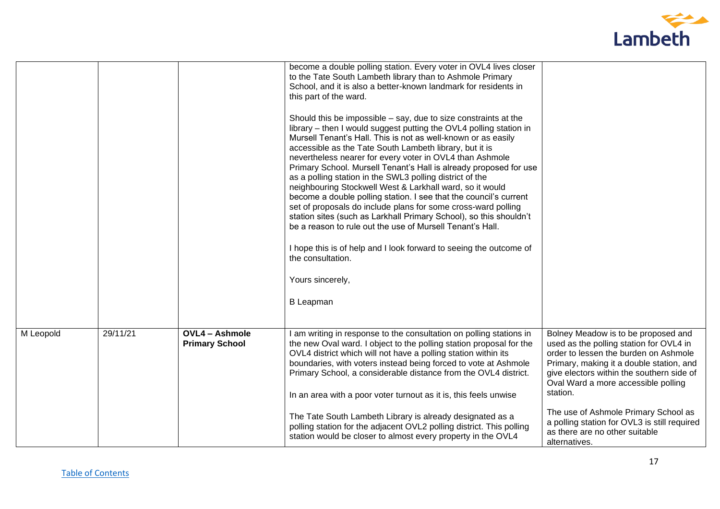

|           |          |                                                | become a double polling station. Every voter in OVL4 lives closer<br>to the Tate South Lambeth library than to Ashmole Primary<br>School, and it is also a better-known landmark for residents in<br>this part of the ward.<br>Should this be impossible – say, due to size constraints at the<br>library – then I would suggest putting the OVL4 polling station in<br>Mursell Tenant's Hall. This is not as well-known or as easily<br>accessible as the Tate South Lambeth library, but it is<br>nevertheless nearer for every voter in OVL4 than Ashmole<br>Primary School. Mursell Tenant's Hall is already proposed for use<br>as a polling station in the SWL3 polling district of the<br>neighbouring Stockwell West & Larkhall ward, so it would<br>become a double polling station. I see that the council's current<br>set of proposals do include plans for some cross-ward polling<br>station sites (such as Larkhall Primary School), so this shouldn't<br>be a reason to rule out the use of Mursell Tenant's Hall.<br>I hope this is of help and I look forward to seeing the outcome of<br>the consultation.<br>Yours sincerely,<br><b>B</b> Leapman |                                                                                                                                                                                                                                                                     |
|-----------|----------|------------------------------------------------|-----------------------------------------------------------------------------------------------------------------------------------------------------------------------------------------------------------------------------------------------------------------------------------------------------------------------------------------------------------------------------------------------------------------------------------------------------------------------------------------------------------------------------------------------------------------------------------------------------------------------------------------------------------------------------------------------------------------------------------------------------------------------------------------------------------------------------------------------------------------------------------------------------------------------------------------------------------------------------------------------------------------------------------------------------------------------------------------------------------------------------------------------------------------------|---------------------------------------------------------------------------------------------------------------------------------------------------------------------------------------------------------------------------------------------------------------------|
| M Leopold | 29/11/21 | <b>OVL4 - Ashmole</b><br><b>Primary School</b> | I am writing in response to the consultation on polling stations in<br>the new Oval ward. I object to the polling station proposal for the<br>OVL4 district which will not have a polling station within its<br>boundaries, with voters instead being forced to vote at Ashmole<br>Primary School, a considerable distance from the OVL4 district.<br>In an area with a poor voter turnout as it is, this feels unwise                                                                                                                                                                                                                                                                                                                                                                                                                                                                                                                                                                                                                                                                                                                                                | Bolney Meadow is to be proposed and<br>used as the polling station for OVL4 in<br>order to lessen the burden on Ashmole<br>Primary, making it a double station, and<br>give electors within the southern side of<br>Oval Ward a more accessible polling<br>station. |
|           |          |                                                | The Tate South Lambeth Library is already designated as a<br>polling station for the adjacent OVL2 polling district. This polling<br>station would be closer to almost every property in the OVL4                                                                                                                                                                                                                                                                                                                                                                                                                                                                                                                                                                                                                                                                                                                                                                                                                                                                                                                                                                     | The use of Ashmole Primary School as<br>a polling station for OVL3 is still required<br>as there are no other suitable<br>alternatives.                                                                                                                             |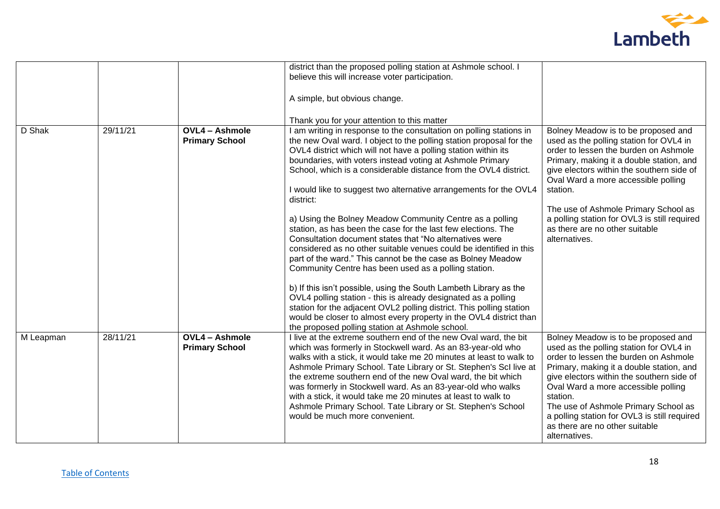

|           |          |                                                | district than the proposed polling station at Ashmole school. I                                                                                                                                                                                                                                                                                                                                                                                                                                                                                                                                                                                                                                                                                                                                                                                                                                                                                                                                                                                                                                                                                              |                                                                                                                                                                                                                                                                                                                                                                                                                |
|-----------|----------|------------------------------------------------|--------------------------------------------------------------------------------------------------------------------------------------------------------------------------------------------------------------------------------------------------------------------------------------------------------------------------------------------------------------------------------------------------------------------------------------------------------------------------------------------------------------------------------------------------------------------------------------------------------------------------------------------------------------------------------------------------------------------------------------------------------------------------------------------------------------------------------------------------------------------------------------------------------------------------------------------------------------------------------------------------------------------------------------------------------------------------------------------------------------------------------------------------------------|----------------------------------------------------------------------------------------------------------------------------------------------------------------------------------------------------------------------------------------------------------------------------------------------------------------------------------------------------------------------------------------------------------------|
|           |          |                                                | believe this will increase voter participation.                                                                                                                                                                                                                                                                                                                                                                                                                                                                                                                                                                                                                                                                                                                                                                                                                                                                                                                                                                                                                                                                                                              |                                                                                                                                                                                                                                                                                                                                                                                                                |
|           |          |                                                | A simple, but obvious change.                                                                                                                                                                                                                                                                                                                                                                                                                                                                                                                                                                                                                                                                                                                                                                                                                                                                                                                                                                                                                                                                                                                                |                                                                                                                                                                                                                                                                                                                                                                                                                |
|           |          |                                                | Thank you for your attention to this matter                                                                                                                                                                                                                                                                                                                                                                                                                                                                                                                                                                                                                                                                                                                                                                                                                                                                                                                                                                                                                                                                                                                  |                                                                                                                                                                                                                                                                                                                                                                                                                |
| D Shak    | 29/11/21 | <b>OVL4 - Ashmole</b><br><b>Primary School</b> | I am writing in response to the consultation on polling stations in<br>the new Oval ward. I object to the polling station proposal for the<br>OVL4 district which will not have a polling station within its<br>boundaries, with voters instead voting at Ashmole Primary<br>School, which is a considerable distance from the OVL4 district.<br>I would like to suggest two alternative arrangements for the OVL4<br>district:<br>a) Using the Bolney Meadow Community Centre as a polling<br>station, as has been the case for the last few elections. The<br>Consultation document states that "No alternatives were<br>considered as no other suitable venues could be identified in this<br>part of the ward." This cannot be the case as Bolney Meadow<br>Community Centre has been used as a polling station.<br>b) If this isn't possible, using the South Lambeth Library as the<br>OVL4 polling station - this is already designated as a polling<br>station for the adjacent OVL2 polling district. This polling station<br>would be closer to almost every property in the OVL4 district than<br>the proposed polling station at Ashmole school. | Bolney Meadow is to be proposed and<br>used as the polling station for OVL4 in<br>order to lessen the burden on Ashmole<br>Primary, making it a double station, and<br>give electors within the southern side of<br>Oval Ward a more accessible polling<br>station.<br>The use of Ashmole Primary School as<br>a polling station for OVL3 is still required<br>as there are no other suitable<br>alternatives. |
| M Leapman | 28/11/21 | <b>OVL4 - Ashmole</b><br><b>Primary School</b> | I live at the extreme southern end of the new Oval ward, the bit<br>which was formerly in Stockwell ward. As an 83-year-old who<br>walks with a stick, it would take me 20 minutes at least to walk to<br>Ashmole Primary School. Tate Library or St. Stephen's Scl live at<br>the extreme southern end of the new Oval ward, the bit which<br>was formerly in Stockwell ward. As an 83-year-old who walks<br>with a stick, it would take me 20 minutes at least to walk to<br>Ashmole Primary School. Tate Library or St. Stephen's School<br>would be much more convenient.                                                                                                                                                                                                                                                                                                                                                                                                                                                                                                                                                                                | Bolney Meadow is to be proposed and<br>used as the polling station for OVL4 in<br>order to lessen the burden on Ashmole<br>Primary, making it a double station, and<br>give electors within the southern side of<br>Oval Ward a more accessible polling<br>station.<br>The use of Ashmole Primary School as<br>a polling station for OVL3 is still required<br>as there are no other suitable<br>alternatives. |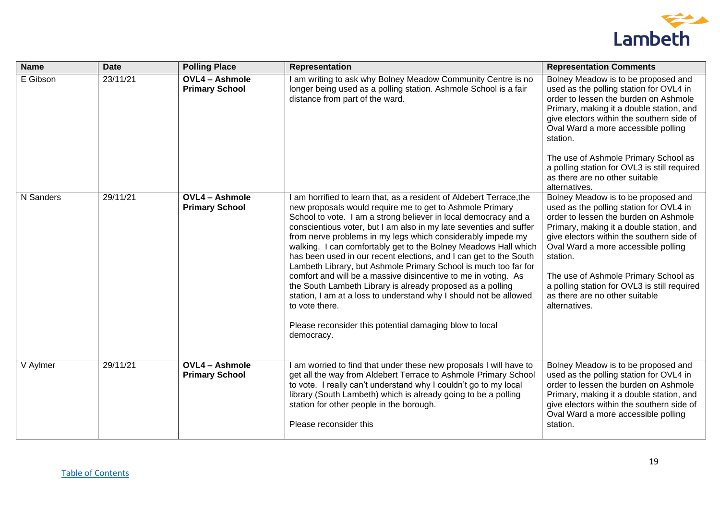

| <b>Name</b> | <b>Date</b> | <b>Polling Place</b>                           | Representation                                                                                                                                                                                                                                                                                                                                                                                                                                                                                                                                                                                                                                                                                                                                                                                                                                      | <b>Representation Comments</b>                                                                                                                                                                                                                                                                                                                                                                                 |
|-------------|-------------|------------------------------------------------|-----------------------------------------------------------------------------------------------------------------------------------------------------------------------------------------------------------------------------------------------------------------------------------------------------------------------------------------------------------------------------------------------------------------------------------------------------------------------------------------------------------------------------------------------------------------------------------------------------------------------------------------------------------------------------------------------------------------------------------------------------------------------------------------------------------------------------------------------------|----------------------------------------------------------------------------------------------------------------------------------------------------------------------------------------------------------------------------------------------------------------------------------------------------------------------------------------------------------------------------------------------------------------|
| E Gibson    | 23/11/21    | <b>OVL4 - Ashmole</b><br><b>Primary School</b> | I am writing to ask why Bolney Meadow Community Centre is no<br>longer being used as a polling station. Ashmole School is a fair<br>distance from part of the ward.                                                                                                                                                                                                                                                                                                                                                                                                                                                                                                                                                                                                                                                                                 | Bolney Meadow is to be proposed and<br>used as the polling station for OVL4 in<br>order to lessen the burden on Ashmole<br>Primary, making it a double station, and<br>give electors within the southern side of<br>Oval Ward a more accessible polling<br>station.<br>The use of Ashmole Primary School as<br>a polling station for OVL3 is still required<br>as there are no other suitable                  |
|             |             |                                                |                                                                                                                                                                                                                                                                                                                                                                                                                                                                                                                                                                                                                                                                                                                                                                                                                                                     | alternatives.                                                                                                                                                                                                                                                                                                                                                                                                  |
| N Sanders   | 29/11/21    | <b>OVL4 - Ashmole</b><br><b>Primary School</b> | I am horrified to learn that, as a resident of Aldebert Terrace, the<br>new proposals would require me to get to Ashmole Primary<br>School to vote. I am a strong believer in local democracy and a<br>conscientious voter, but I am also in my late seventies and suffer<br>from nerve problems in my legs which considerably impede my<br>walking. I can comfortably get to the Bolney Meadows Hall which<br>has been used in our recent elections, and I can get to the South<br>Lambeth Library, but Ashmole Primary School is much too far for<br>comfort and will be a massive disincentive to me in voting. As<br>the South Lambeth Library is already proposed as a polling<br>station, I am at a loss to understand why I should not be allowed<br>to vote there.<br>Please reconsider this potential damaging blow to local<br>democracy. | Bolney Meadow is to be proposed and<br>used as the polling station for OVL4 in<br>order to lessen the burden on Ashmole<br>Primary, making it a double station, and<br>give electors within the southern side of<br>Oval Ward a more accessible polling<br>station.<br>The use of Ashmole Primary School as<br>a polling station for OVL3 is still required<br>as there are no other suitable<br>alternatives. |
| V Aylmer    | 29/11/21    | <b>OVL4 - Ashmole</b><br><b>Primary School</b> | I am worried to find that under these new proposals I will have to<br>get all the way from Aldebert Terrace to Ashmole Primary School<br>to vote. I really can't understand why I couldn't go to my local<br>library (South Lambeth) which is already going to be a polling<br>station for other people in the borough.<br>Please reconsider this                                                                                                                                                                                                                                                                                                                                                                                                                                                                                                   | Bolney Meadow is to be proposed and<br>used as the polling station for OVL4 in<br>order to lessen the burden on Ashmole<br>Primary, making it a double station, and<br>give electors within the southern side of<br>Oval Ward a more accessible polling<br>station.                                                                                                                                            |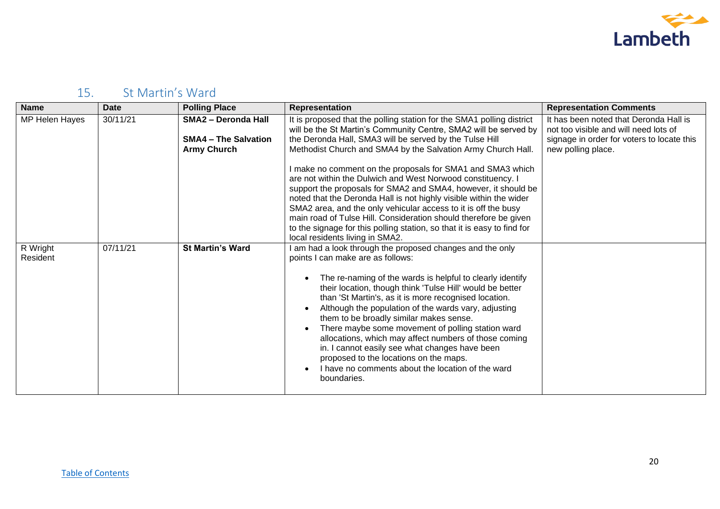

# <span id="page-19-0"></span>15. St Martin's Ward

| <b>Name</b>          | <b>Date</b> | <b>Polling Place</b>                                                            | Representation                                                                                                                                                                                                                                                                                                                                                                                                                                                                                                                                                                                                                                                                                                                                                                                | <b>Representation Comments</b>                                                                                                                      |
|----------------------|-------------|---------------------------------------------------------------------------------|-----------------------------------------------------------------------------------------------------------------------------------------------------------------------------------------------------------------------------------------------------------------------------------------------------------------------------------------------------------------------------------------------------------------------------------------------------------------------------------------------------------------------------------------------------------------------------------------------------------------------------------------------------------------------------------------------------------------------------------------------------------------------------------------------|-----------------------------------------------------------------------------------------------------------------------------------------------------|
| MP Helen Hayes       | 30/11/21    | <b>SMA2 - Deronda Hall</b><br><b>SMA4 - The Salvation</b><br><b>Army Church</b> | It is proposed that the polling station for the SMA1 polling district<br>will be the St Martin's Community Centre, SMA2 will be served by<br>the Deronda Hall, SMA3 will be served by the Tulse Hill<br>Methodist Church and SMA4 by the Salvation Army Church Hall.<br>I make no comment on the proposals for SMA1 and SMA3 which<br>are not within the Dulwich and West Norwood constituency. I<br>support the proposals for SMA2 and SMA4, however, it should be<br>noted that the Deronda Hall is not highly visible within the wider<br>SMA2 area, and the only vehicular access to it is off the busy<br>main road of Tulse Hill. Consideration should therefore be given<br>to the signage for this polling station, so that it is easy to find for<br>local residents living in SMA2. | It has been noted that Deronda Hall is<br>not too visible and will need lots of<br>signage in order for voters to locate this<br>new polling place. |
| R Wright<br>Resident | 07/11/21    | <b>St Martin's Ward</b>                                                         | I am had a look through the proposed changes and the only<br>points I can make are as follows:<br>The re-naming of the wards is helpful to clearly identify<br>their location, though think 'Tulse Hill' would be better<br>than 'St Martin's, as it is more recognised location.<br>Although the population of the wards vary, adjusting<br>them to be broadly similar makes sense.<br>There maybe some movement of polling station ward<br>allocations, which may affect numbers of those coming<br>in. I cannot easily see what changes have been<br>proposed to the locations on the maps.<br>I have no comments about the location of the ward<br>boundaries.                                                                                                                            |                                                                                                                                                     |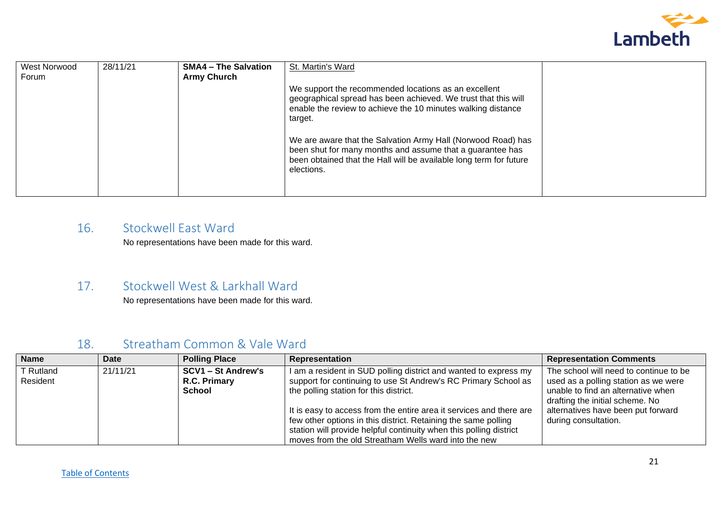

| <b>West Norwood</b> | 28/11/21 | <b>SMA4 - The Salvation</b> | St. Martin's Ward                                                                                                               |  |
|---------------------|----------|-----------------------------|---------------------------------------------------------------------------------------------------------------------------------|--|
| Forum               |          | <b>Army Church</b>          |                                                                                                                                 |  |
|                     |          |                             | We support the recommended locations as an excellent<br>geographical spread has been achieved. We trust that this will          |  |
|                     |          |                             | enable the review to achieve the 10 minutes walking distance                                                                    |  |
|                     |          |                             | target.                                                                                                                         |  |
|                     |          |                             |                                                                                                                                 |  |
|                     |          |                             | We are aware that the Salvation Army Hall (Norwood Road) has                                                                    |  |
|                     |          |                             | been shut for many months and assume that a guarantee has<br>been obtained that the Hall will be available long term for future |  |
|                     |          |                             | elections.                                                                                                                      |  |
|                     |          |                             |                                                                                                                                 |  |
|                     |          |                             |                                                                                                                                 |  |

#### <span id="page-20-0"></span>16. Stockwell East Ward

No representations have been made for this ward.

#### <span id="page-20-1"></span>17. Stockwell West & Larkhall Ward

No representations have been made for this ward.

| <b>Name</b>           | Date     | <b>Polling Place</b>                                | Representation                                                                                                                                                                                                                                                                                                                                                                                                                                      | <b>Representation Comments</b>                                                                                                                                                                                        |
|-----------------------|----------|-----------------------------------------------------|-----------------------------------------------------------------------------------------------------------------------------------------------------------------------------------------------------------------------------------------------------------------------------------------------------------------------------------------------------------------------------------------------------------------------------------------------------|-----------------------------------------------------------------------------------------------------------------------------------------------------------------------------------------------------------------------|
| T Rutland<br>Resident | 21/11/21 | <b>SCV1 - St Andrew's</b><br>R.C. Primary<br>School | I am a resident in SUD polling district and wanted to express my<br>support for continuing to use St Andrew's RC Primary School as<br>the polling station for this district.<br>It is easy to access from the entire area it services and there are<br>few other options in this district. Retaining the same polling<br>station will provide helpful continuity when this polling district<br>moves from the old Streatham Wells ward into the new | The school will need to continue to be<br>used as a polling station as we were<br>unable to find an alternative when<br>drafting the initial scheme. No<br>alternatives have been put forward<br>during consultation. |

#### <span id="page-20-2"></span>18. Streatham Common & Vale Ward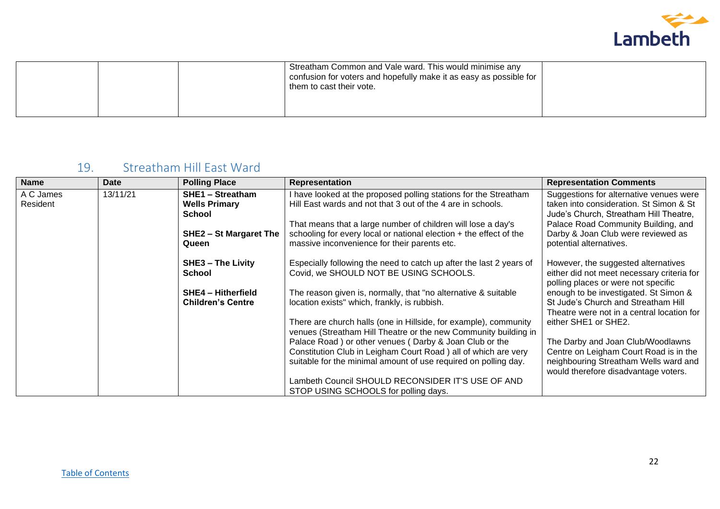

|  | Streatham Common and Vale ward. This would minimise any<br>confusion for voters and hopefully make it as easy as possible for<br>them to cast their vote. |  |
|--|-----------------------------------------------------------------------------------------------------------------------------------------------------------|--|
|--|-----------------------------------------------------------------------------------------------------------------------------------------------------------|--|

### <span id="page-21-0"></span>19. Streatham Hill East Ward

| <b>Name</b>           | <b>Date</b> | <b>Polling Place</b>                                             | <b>Representation</b>                                                                                                               | <b>Representation Comments</b>                                                                                               |
|-----------------------|-------------|------------------------------------------------------------------|-------------------------------------------------------------------------------------------------------------------------------------|------------------------------------------------------------------------------------------------------------------------------|
| A C James<br>Resident | 13/11/21    | <b>SHE1 - Streatham</b><br><b>Wells Primary</b><br><b>School</b> | I have looked at the proposed polling stations for the Streatham<br>Hill East wards and not that 3 out of the 4 are in schools.     | Suggestions for alternative venues were<br>taken into consideration. St Simon & St<br>Jude's Church, Streatham Hill Theatre, |
|                       |             | <b>SHE2 - St Margaret The</b>                                    | That means that a large number of children will lose a day's<br>schooling for every local or national election + the effect of the  | Palace Road Community Building, and<br>Darby & Joan Club were reviewed as                                                    |
|                       |             | Queen                                                            | massive inconvenience for their parents etc.                                                                                        | potential alternatives.                                                                                                      |
|                       |             | <b>SHE3 - The Livity</b><br><b>School</b>                        | Especially following the need to catch up after the last 2 years of<br>Covid, we SHOULD NOT BE USING SCHOOLS.                       | However, the suggested alternatives<br>either did not meet necessary criteria for<br>polling places or were not specific     |
|                       |             | <b>SHE4 - Hitherfield</b><br><b>Children's Centre</b>            | The reason given is, normally, that "no alternative & suitable<br>location exists" which, frankly, is rubbish.                      | enough to be investigated. St Simon &<br>St Jude's Church and Streatham Hill<br>Theatre were not in a central location for   |
|                       |             |                                                                  | There are church halls (one in Hillside, for example), community<br>venues (Streatham Hill Theatre or the new Community building in | either SHE1 or SHE2.                                                                                                         |
|                       |             |                                                                  | Palace Road) or other venues (Darby & Joan Club or the<br>Constitution Club in Leigham Court Road) all of which are very            | The Darby and Joan Club/Woodlawns<br>Centre on Leigham Court Road is in the                                                  |
|                       |             |                                                                  | suitable for the minimal amount of use required on polling day.                                                                     | neighbouring Streatham Wells ward and<br>would therefore disadvantage voters.                                                |
|                       |             |                                                                  | Lambeth Council SHOULD RECONSIDER IT'S USE OF AND<br>STOP USING SCHOOLS for polling days.                                           |                                                                                                                              |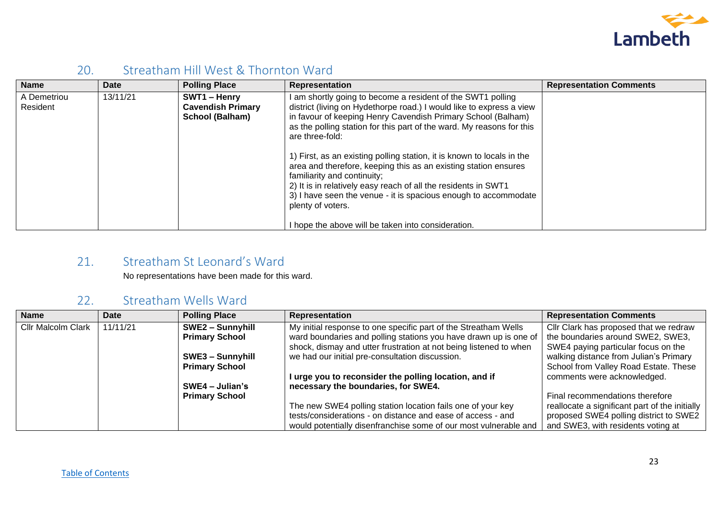

#### <span id="page-22-0"></span>20. Streatham Hill West & Thornton Ward

| <b>Name</b>             | <b>Date</b> | <b>Polling Place</b>                                        | <b>Representation</b>                                                                                                                                                                                                                                                                                                              | <b>Representation Comments</b> |
|-------------------------|-------------|-------------------------------------------------------------|------------------------------------------------------------------------------------------------------------------------------------------------------------------------------------------------------------------------------------------------------------------------------------------------------------------------------------|--------------------------------|
| A Demetriou<br>Resident | 13/11/21    | SWT1 - Henry<br><b>Cavendish Primary</b><br>School (Balham) | I am shortly going to become a resident of the SWT1 polling<br>district (living on Hydethorpe road.) I would like to express a view<br>in favour of keeping Henry Cavendish Primary School (Balham)<br>as the polling station for this part of the ward. My reasons for this<br>are three-fold:                                    |                                |
|                         |             |                                                             | 1) First, as an existing polling station, it is known to locals in the<br>area and therefore, keeping this as an existing station ensures<br>familiarity and continuity;<br>2) It is in relatively easy reach of all the residents in SWT1<br>3) I have seen the venue - it is spacious enough to accommodate<br>plenty of voters. |                                |
|                         |             |                                                             | I hope the above will be taken into consideration.                                                                                                                                                                                                                                                                                 |                                |

#### <span id="page-22-1"></span>21. Streatham St Leonard's Ward

No representations have been made for this ward.

#### <span id="page-22-2"></span>22. Streatham Wells Ward

| <b>Name</b>               | <b>Date</b> | <b>Polling Place</b>    | <b>Representation</b>                                             | <b>Representation Comments</b>                 |
|---------------------------|-------------|-------------------------|-------------------------------------------------------------------|------------------------------------------------|
| <b>Cllr Malcolm Clark</b> | 11/11/21    | SWE2 - Sunnyhill        | My initial response to one specific part of the Streatham Wells   | Cllr Clark has proposed that we redraw         |
|                           |             | <b>Primary School</b>   | ward boundaries and polling stations you have drawn up is one of  | the boundaries around SWE2, SWE3,              |
|                           |             |                         | shock, dismay and utter frustration at not being listened to when | SWE4 paying particular focus on the            |
|                           |             | <b>SWE3 - Sunnyhill</b> | we had our initial pre-consultation discussion.                   | walking distance from Julian's Primary         |
|                           |             | <b>Primary School</b>   |                                                                   | School from Valley Road Estate. These          |
|                           |             |                         | I urge you to reconsider the polling location, and if             | comments were acknowledged.                    |
|                           |             | $SWE4 - Julian's$       | necessary the boundaries, for SWE4.                               |                                                |
|                           |             | <b>Primary School</b>   |                                                                   | Final recommendations therefore                |
|                           |             |                         | The new SWE4 polling station location fails one of your key       | reallocate a significant part of the initially |
|                           |             |                         | tests/considerations - on distance and ease of access - and       | proposed SWE4 polling district to SWE2         |
|                           |             |                         | would potentially disenfranchise some of our most vulnerable and  | and SWE3, with residents voting at             |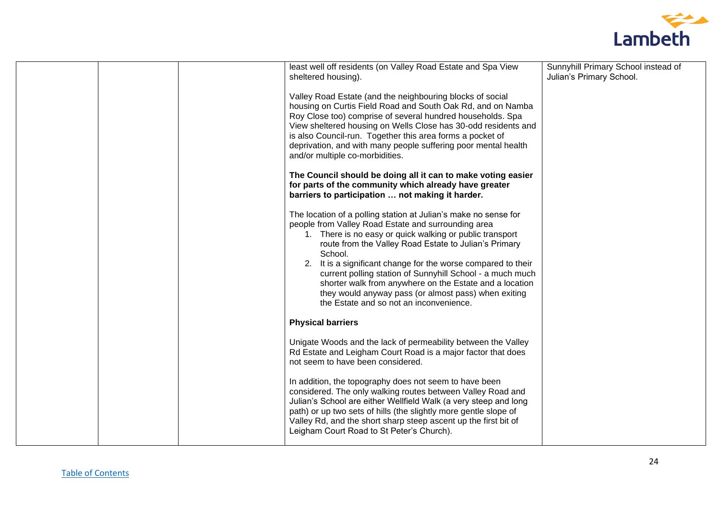

|  | least well off residents (on Valley Road Estate and Spa View<br>sheltered housing).                                                                                                                                                                                                                                                                                                                                                                                                                                                                | Sunnyhill Primary School instead of<br>Julian's Primary School. |
|--|----------------------------------------------------------------------------------------------------------------------------------------------------------------------------------------------------------------------------------------------------------------------------------------------------------------------------------------------------------------------------------------------------------------------------------------------------------------------------------------------------------------------------------------------------|-----------------------------------------------------------------|
|  | Valley Road Estate (and the neighbouring blocks of social<br>housing on Curtis Field Road and South Oak Rd, and on Namba<br>Roy Close too) comprise of several hundred households. Spa<br>View sheltered housing on Wells Close has 30-odd residents and<br>is also Council-run. Together this area forms a pocket of<br>deprivation, and with many people suffering poor mental health<br>and/or multiple co-morbidities.                                                                                                                         |                                                                 |
|  | The Council should be doing all it can to make voting easier<br>for parts of the community which already have greater<br>barriers to participation  not making it harder.                                                                                                                                                                                                                                                                                                                                                                          |                                                                 |
|  | The location of a polling station at Julian's make no sense for<br>people from Valley Road Estate and surrounding area<br>1. There is no easy or quick walking or public transport<br>route from the Valley Road Estate to Julian's Primary<br>School.<br>2. It is a significant change for the worse compared to their<br>current polling station of Sunnyhill School - a much much<br>shorter walk from anywhere on the Estate and a location<br>they would anyway pass (or almost pass) when exiting<br>the Estate and so not an inconvenience. |                                                                 |
|  | <b>Physical barriers</b>                                                                                                                                                                                                                                                                                                                                                                                                                                                                                                                           |                                                                 |
|  | Unigate Woods and the lack of permeability between the Valley<br>Rd Estate and Leigham Court Road is a major factor that does<br>not seem to have been considered.                                                                                                                                                                                                                                                                                                                                                                                 |                                                                 |
|  | In addition, the topography does not seem to have been<br>considered. The only walking routes between Valley Road and<br>Julian's School are either Wellfield Walk (a very steep and long<br>path) or up two sets of hills (the slightly more gentle slope of<br>Valley Rd, and the short sharp steep ascent up the first bit of<br>Leigham Court Road to St Peter's Church).                                                                                                                                                                      |                                                                 |
|  |                                                                                                                                                                                                                                                                                                                                                                                                                                                                                                                                                    |                                                                 |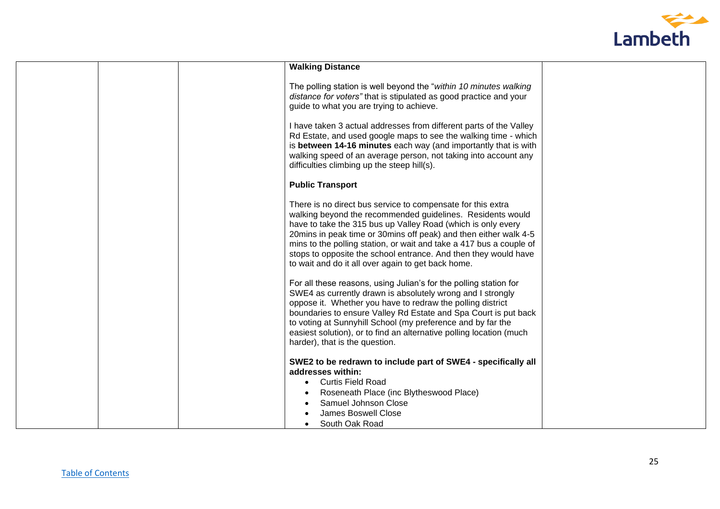

| <b>Walking Distance</b><br>The polling station is well beyond the "within 10 minutes walking<br>distance for voters" that is stipulated as good practice and your<br>guide to what you are trying to achieve.                                                                                                                                                                                                                                                   |  |
|-----------------------------------------------------------------------------------------------------------------------------------------------------------------------------------------------------------------------------------------------------------------------------------------------------------------------------------------------------------------------------------------------------------------------------------------------------------------|--|
|                                                                                                                                                                                                                                                                                                                                                                                                                                                                 |  |
|                                                                                                                                                                                                                                                                                                                                                                                                                                                                 |  |
| I have taken 3 actual addresses from different parts of the Valley<br>Rd Estate, and used google maps to see the walking time - which<br>is between 14-16 minutes each way (and importantly that is with<br>walking speed of an average person, not taking into account any<br>difficulties climbing up the steep hill(s).                                                                                                                                      |  |
| <b>Public Transport</b>                                                                                                                                                                                                                                                                                                                                                                                                                                         |  |
| There is no direct bus service to compensate for this extra<br>walking beyond the recommended guidelines. Residents would<br>have to take the 315 bus up Valley Road (which is only every<br>20 mins in peak time or 30 mins off peak) and then either walk 4-5<br>mins to the polling station, or wait and take a 417 bus a couple of<br>stops to opposite the school entrance. And then they would have<br>to wait and do it all over again to get back home. |  |
| For all these reasons, using Julian's for the polling station for<br>SWE4 as currently drawn is absolutely wrong and I strongly<br>oppose it. Whether you have to redraw the polling district<br>boundaries to ensure Valley Rd Estate and Spa Court is put back<br>to voting at Sunnyhill School (my preference and by far the<br>easiest solution), or to find an alternative polling location (much<br>harder), that is the question.                        |  |
| SWE2 to be redrawn to include part of SWE4 - specifically all<br>addresses within:<br>• Curtis Field Road                                                                                                                                                                                                                                                                                                                                                       |  |
| Roseneath Place (inc Blytheswood Place)<br>Samuel Johnson Close<br><b>James Boswell Close</b><br>South Oak Road                                                                                                                                                                                                                                                                                                                                                 |  |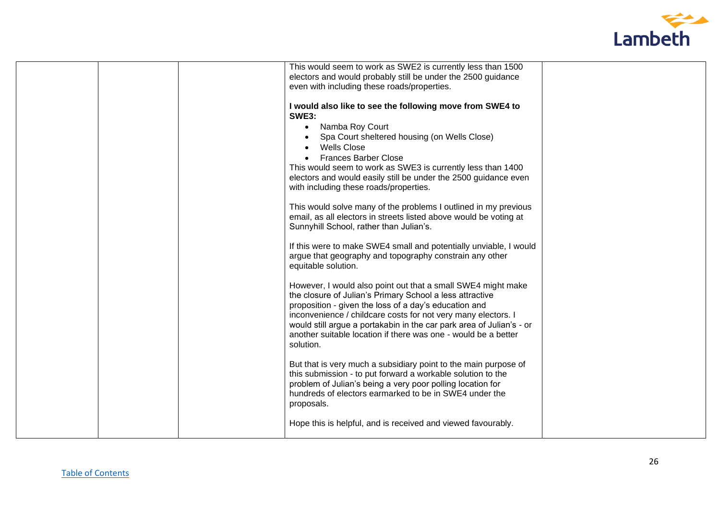

|  | This would seem to work as SWE2 is currently less than 1500          |  |
|--|----------------------------------------------------------------------|--|
|  | electors and would probably still be under the 2500 guidance         |  |
|  | even with including these roads/properties.                          |  |
|  |                                                                      |  |
|  | I would also like to see the following move from SWE4 to             |  |
|  | <b>SWE3:</b>                                                         |  |
|  | • Namba Roy Court                                                    |  |
|  | Spa Court sheltered housing (on Wells Close)                         |  |
|  | <b>Wells Close</b>                                                   |  |
|  |                                                                      |  |
|  | <b>Frances Barber Close</b>                                          |  |
|  | This would seem to work as SWE3 is currently less than 1400          |  |
|  | electors and would easily still be under the 2500 guidance even      |  |
|  | with including these roads/properties.                               |  |
|  |                                                                      |  |
|  | This would solve many of the problems I outlined in my previous      |  |
|  | email, as all electors in streets listed above would be voting at    |  |
|  | Sunnyhill School, rather than Julian's.                              |  |
|  |                                                                      |  |
|  | If this were to make SWE4 small and potentially unviable, I would    |  |
|  | argue that geography and topography constrain any other              |  |
|  | equitable solution.                                                  |  |
|  |                                                                      |  |
|  | However, I would also point out that a small SWE4 might make         |  |
|  | the closure of Julian's Primary School a less attractive             |  |
|  | proposition - given the loss of a day's education and                |  |
|  | inconvenience / childcare costs for not very many electors. I        |  |
|  | would still argue a portakabin in the car park area of Julian's - or |  |
|  | another suitable location if there was one - would be a better       |  |
|  | solution.                                                            |  |
|  |                                                                      |  |
|  | But that is very much a subsidiary point to the main purpose of      |  |
|  | this submission - to put forward a workable solution to the          |  |
|  | problem of Julian's being a very poor polling location for           |  |
|  | hundreds of electors earmarked to be in SWE4 under the               |  |
|  | proposals.                                                           |  |
|  |                                                                      |  |
|  | Hope this is helpful, and is received and viewed favourably.         |  |
|  |                                                                      |  |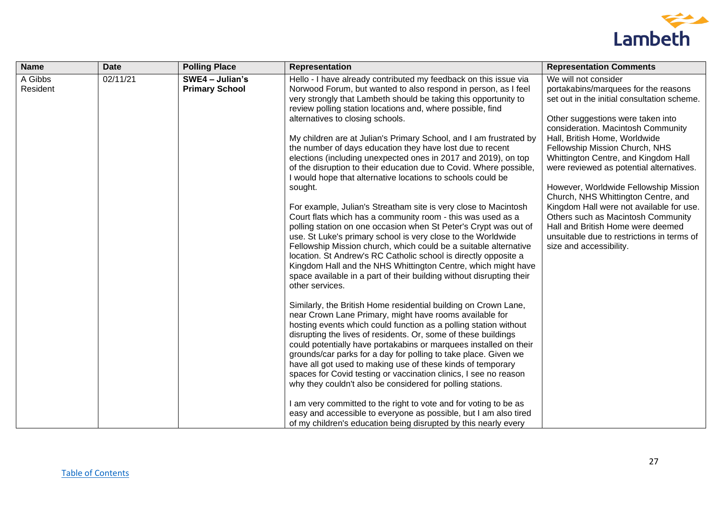

| <b>Name</b>         | Date     | <b>Polling Place</b>                     | <b>Representation</b>                                                                                                                                                                                                                                                                                                                                                                                                                                                                                                                                                                                                                                                                                                           | <b>Representation Comments</b>                                                                                                                                                                                                                                                                                                                                                                                                                                            |
|---------------------|----------|------------------------------------------|---------------------------------------------------------------------------------------------------------------------------------------------------------------------------------------------------------------------------------------------------------------------------------------------------------------------------------------------------------------------------------------------------------------------------------------------------------------------------------------------------------------------------------------------------------------------------------------------------------------------------------------------------------------------------------------------------------------------------------|---------------------------------------------------------------------------------------------------------------------------------------------------------------------------------------------------------------------------------------------------------------------------------------------------------------------------------------------------------------------------------------------------------------------------------------------------------------------------|
| A Gibbs<br>Resident | 02/11/21 | SWE4 - Julian's<br><b>Primary School</b> | Hello - I have already contributed my feedback on this issue via<br>Norwood Forum, but wanted to also respond in person, as I feel<br>very strongly that Lambeth should be taking this opportunity to<br>review polling station locations and, where possible, find<br>alternatives to closing schools.<br>My children are at Julian's Primary School, and I am frustrated by<br>the number of days education they have lost due to recent<br>elections (including unexpected ones in 2017 and 2019), on top<br>of the disruption to their education due to Covid. Where possible,<br>I would hope that alternative locations to schools could be<br>sought.<br>For example, Julian's Streatham site is very close to Macintosh | We will not consider<br>portakabins/marquees for the reasons<br>set out in the initial consultation scheme.<br>Other suggestions were taken into<br>consideration. Macintosh Community<br>Hall, British Home, Worldwide<br>Fellowship Mission Church, NHS<br>Whittington Centre, and Kingdom Hall<br>were reviewed as potential alternatives.<br>However, Worldwide Fellowship Mission<br>Church, NHS Whittington Centre, and<br>Kingdom Hall were not available for use. |
|                     |          |                                          | Court flats which has a community room - this was used as a<br>polling station on one occasion when St Peter's Crypt was out of<br>use. St Luke's primary school is very close to the Worldwide<br>Fellowship Mission church, which could be a suitable alternative<br>location. St Andrew's RC Catholic school is directly opposite a<br>Kingdom Hall and the NHS Whittington Centre, which might have<br>space available in a part of their building without disrupting their<br>other services.                                                                                                                                                                                                                              | Others such as Macintosh Community<br>Hall and British Home were deemed<br>unsuitable due to restrictions in terms of<br>size and accessibility.                                                                                                                                                                                                                                                                                                                          |
|                     |          |                                          | Similarly, the British Home residential building on Crown Lane,<br>near Crown Lane Primary, might have rooms available for<br>hosting events which could function as a polling station without<br>disrupting the lives of residents. Or, some of these buildings<br>could potentially have portakabins or marquees installed on their<br>grounds/car parks for a day for polling to take place. Given we<br>have all got used to making use of these kinds of temporary<br>spaces for Covid testing or vaccination clinics, I see no reason<br>why they couldn't also be considered for polling stations.<br>I am very committed to the right to vote and for voting to be as                                                   |                                                                                                                                                                                                                                                                                                                                                                                                                                                                           |
|                     |          |                                          | easy and accessible to everyone as possible, but I am also tired<br>of my children's education being disrupted by this nearly every                                                                                                                                                                                                                                                                                                                                                                                                                                                                                                                                                                                             |                                                                                                                                                                                                                                                                                                                                                                                                                                                                           |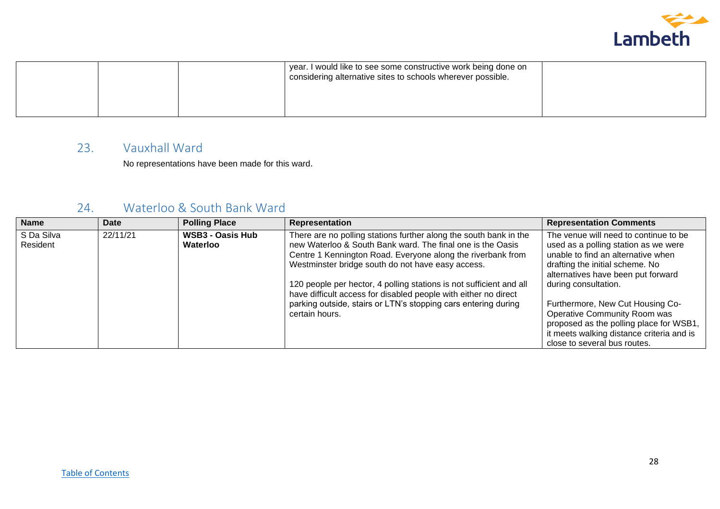

|  | year. I would like to see some constructive work being done on<br>considering alternative sites to schools wherever possible. |  |
|--|-------------------------------------------------------------------------------------------------------------------------------|--|
|  |                                                                                                                               |  |

#### <span id="page-27-0"></span>23. Vauxhall Ward

No representations have been made for this ward.

#### <span id="page-27-1"></span>24. Waterloo & South Bank Ward

| <b>Name</b> | <b>Date</b> | <b>Polling Place</b>    | Representation                                                      | <b>Representation Comments</b>            |
|-------------|-------------|-------------------------|---------------------------------------------------------------------|-------------------------------------------|
| S Da Silva  | 22/11/21    | <b>WSB3 - Oasis Hub</b> | There are no polling stations further along the south bank in the   | The venue will need to continue to be     |
| Resident    |             | Waterloo                | new Waterloo & South Bank ward. The final one is the Oasis          | used as a polling station as we were      |
|             |             |                         | Centre 1 Kennington Road. Everyone along the riverbank from         | unable to find an alternative when        |
|             |             |                         | Westminster bridge south do not have easy access.                   | drafting the initial scheme. No           |
|             |             |                         |                                                                     | alternatives have been put forward        |
|             |             |                         | 120 people per hector, 4 polling stations is not sufficient and all | during consultation.                      |
|             |             |                         | have difficult access for disabled people with either no direct     |                                           |
|             |             |                         | parking outside, stairs or LTN's stopping cars entering during      | Furthermore, New Cut Housing Co-          |
|             |             |                         | certain hours.                                                      | Operative Community Room was              |
|             |             |                         |                                                                     | proposed as the polling place for WSB1,   |
|             |             |                         |                                                                     | it meets walking distance criteria and is |
|             |             |                         |                                                                     | close to several bus routes.              |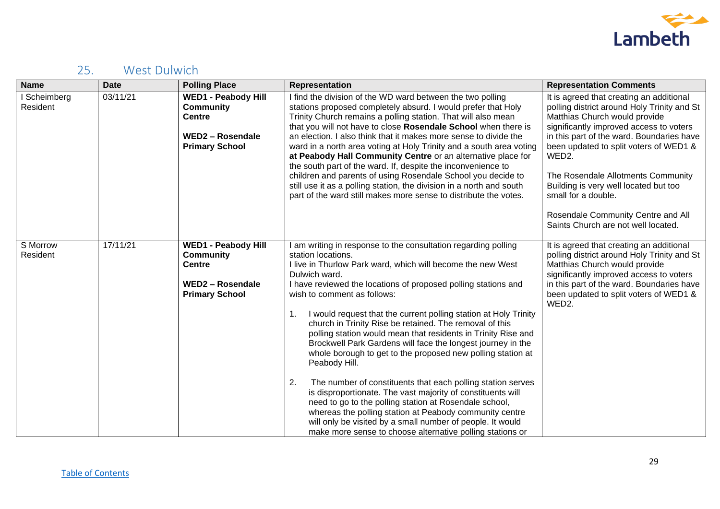

# <span id="page-28-0"></span>25. West Dulwich

| <b>Name</b>            | <b>Date</b> | <b>Polling Place</b>                                                                                                | <b>Representation</b>                                                                                                                                                                                                                                                                                                                                                                                                                                                                                                                                                                                                                                                                                                                                                                                                                                                                                                                                                                                          | <b>Representation Comments</b>                                                                                                                                                                                                                                                                                                                                                                                                                         |
|------------------------|-------------|---------------------------------------------------------------------------------------------------------------------|----------------------------------------------------------------------------------------------------------------------------------------------------------------------------------------------------------------------------------------------------------------------------------------------------------------------------------------------------------------------------------------------------------------------------------------------------------------------------------------------------------------------------------------------------------------------------------------------------------------------------------------------------------------------------------------------------------------------------------------------------------------------------------------------------------------------------------------------------------------------------------------------------------------------------------------------------------------------------------------------------------------|--------------------------------------------------------------------------------------------------------------------------------------------------------------------------------------------------------------------------------------------------------------------------------------------------------------------------------------------------------------------------------------------------------------------------------------------------------|
| Scheimberg<br>Resident | 03/11/21    | <b>WED1 - Peabody Hill</b><br><b>Community</b><br><b>Centre</b><br><b>WED2 - Rosendale</b><br><b>Primary School</b> | I find the division of the WD ward between the two polling<br>stations proposed completely absurd. I would prefer that Holy<br>Trinity Church remains a polling station. That will also mean<br>that you will not have to close Rosendale School when there is<br>an election. I also think that it makes more sense to divide the<br>ward in a north area voting at Holy Trinity and a south area voting<br>at Peabody Hall Community Centre or an alternative place for<br>the south part of the ward. If, despite the inconvenience to<br>children and parents of using Rosendale School you decide to<br>still use it as a polling station, the division in a north and south<br>part of the ward still makes more sense to distribute the votes.                                                                                                                                                                                                                                                          | It is agreed that creating an additional<br>polling district around Holy Trinity and St<br>Matthias Church would provide<br>significantly improved access to voters<br>in this part of the ward. Boundaries have<br>been updated to split voters of WED1 &<br>WED2.<br>The Rosendale Allotments Community<br>Building is very well located but too<br>small for a double.<br>Rosendale Community Centre and All<br>Saints Church are not well located. |
| S Morrow<br>Resident   | 17/11/21    | <b>WED1 - Peabody Hill</b><br><b>Community</b><br><b>Centre</b><br><b>WED2 - Rosendale</b><br><b>Primary School</b> | I am writing in response to the consultation regarding polling<br>station locations.<br>I live in Thurlow Park ward, which will become the new West<br>Dulwich ward.<br>I have reviewed the locations of proposed polling stations and<br>wish to comment as follows:<br>I would request that the current polling station at Holy Trinity<br>1.<br>church in Trinity Rise be retained. The removal of this<br>polling station would mean that residents in Trinity Rise and<br>Brockwell Park Gardens will face the longest journey in the<br>whole borough to get to the proposed new polling station at<br>Peabody Hill.<br>The number of constituents that each polling station serves<br>2.<br>is disproportionate. The vast majority of constituents will<br>need to go to the polling station at Rosendale school,<br>whereas the polling station at Peabody community centre<br>will only be visited by a small number of people. It would<br>make more sense to choose alternative polling stations or | It is agreed that creating an additional<br>polling district around Holy Trinity and St<br>Matthias Church would provide<br>significantly improved access to voters<br>in this part of the ward. Boundaries have<br>been updated to split voters of WED1 &<br>WED2.                                                                                                                                                                                    |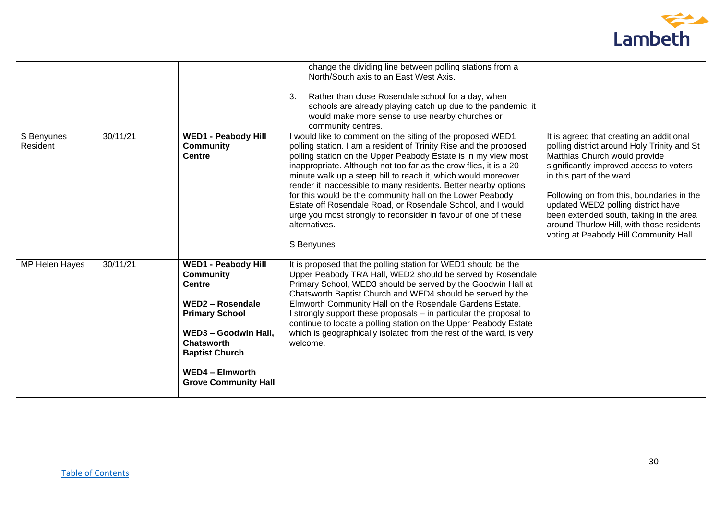

|                        |          |                                                                                                                                                                                                                                             | change the dividing line between polling stations from a<br>North/South axis to an East West Axis.<br>Rather than close Rosendale school for a day, when<br>3.<br>schools are already playing catch up due to the pandemic, it<br>would make more sense to use nearby churches or<br>community centres.                                                                                                                                                                                                                                                                                                                                  |                                                                                                                                                                                                                                                                                                                                                                                                                       |
|------------------------|----------|---------------------------------------------------------------------------------------------------------------------------------------------------------------------------------------------------------------------------------------------|------------------------------------------------------------------------------------------------------------------------------------------------------------------------------------------------------------------------------------------------------------------------------------------------------------------------------------------------------------------------------------------------------------------------------------------------------------------------------------------------------------------------------------------------------------------------------------------------------------------------------------------|-----------------------------------------------------------------------------------------------------------------------------------------------------------------------------------------------------------------------------------------------------------------------------------------------------------------------------------------------------------------------------------------------------------------------|
| S Benyunes<br>Resident | 30/11/21 | <b>WED1 - Peabody Hill</b><br><b>Community</b><br><b>Centre</b>                                                                                                                                                                             | I would like to comment on the siting of the proposed WED1<br>polling station. I am a resident of Trinity Rise and the proposed<br>polling station on the Upper Peabody Estate is in my view most<br>inappropriate. Although not too far as the crow flies, it is a 20-<br>minute walk up a steep hill to reach it, which would moreover<br>render it inaccessible to many residents. Better nearby options<br>for this would be the community hall on the Lower Peabody<br>Estate off Rosendale Road, or Rosendale School, and I would<br>urge you most strongly to reconsider in favour of one of these<br>alternatives.<br>S Benyunes | It is agreed that creating an additional<br>polling district around Holy Trinity and St<br>Matthias Church would provide<br>significantly improved access to voters<br>in this part of the ward.<br>Following on from this, boundaries in the<br>updated WED2 polling district have<br>been extended south, taking in the area<br>around Thurlow Hill, with those residents<br>voting at Peabody Hill Community Hall. |
| MP Helen Hayes         | 30/11/21 | <b>WED1 - Peabody Hill</b><br><b>Community</b><br><b>Centre</b><br>WED2 - Rosendale<br><b>Primary School</b><br>WED3 - Goodwin Hall,<br><b>Chatsworth</b><br><b>Baptist Church</b><br><b>WED4 - Elmworth</b><br><b>Grove Community Hall</b> | It is proposed that the polling station for WED1 should be the<br>Upper Peabody TRA Hall, WED2 should be served by Rosendale<br>Primary School, WED3 should be served by the Goodwin Hall at<br>Chatsworth Baptist Church and WED4 should be served by the<br>Elmworth Community Hall on the Rosendale Gardens Estate.<br>I strongly support these proposals – in particular the proposal to<br>continue to locate a polling station on the Upper Peabody Estate<br>which is geographically isolated from the rest of the ward, is very<br>welcome.                                                                                      |                                                                                                                                                                                                                                                                                                                                                                                                                       |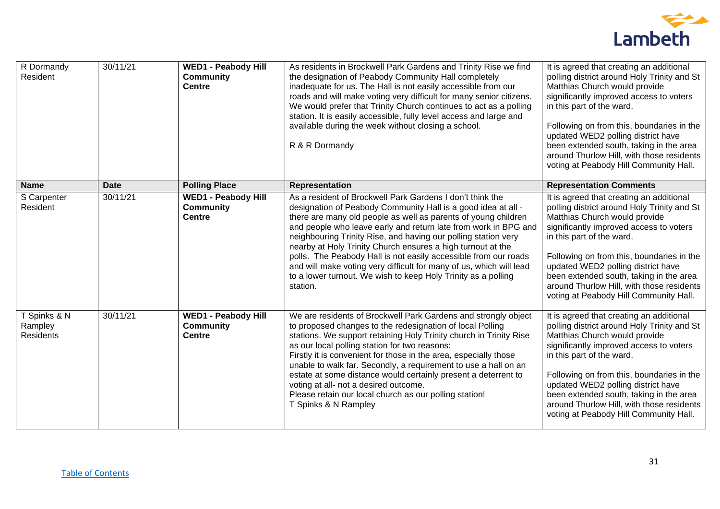

| R Dormandy<br>Resident                      | 30/11/21    | <b>WED1 - Peabody Hill</b><br><b>Community</b><br><b>Centre</b> | As residents in Brockwell Park Gardens and Trinity Rise we find<br>the designation of Peabody Community Hall completely<br>inadequate for us. The Hall is not easily accessible from our<br>roads and will make voting very difficult for many senior citizens.<br>We would prefer that Trinity Church continues to act as a polling<br>station. It is easily accessible, fully level access and large and<br>available during the week without closing a school.<br>R & R Dormandy                                                                                                                                     | It is agreed that creating an additional<br>polling district around Holy Trinity and St<br>Matthias Church would provide<br>significantly improved access to voters<br>in this part of the ward.<br>Following on from this, boundaries in the<br>updated WED2 polling district have<br>been extended south, taking in the area<br>around Thurlow Hill, with those residents<br>voting at Peabody Hill Community Hall. |
|---------------------------------------------|-------------|-----------------------------------------------------------------|-------------------------------------------------------------------------------------------------------------------------------------------------------------------------------------------------------------------------------------------------------------------------------------------------------------------------------------------------------------------------------------------------------------------------------------------------------------------------------------------------------------------------------------------------------------------------------------------------------------------------|-----------------------------------------------------------------------------------------------------------------------------------------------------------------------------------------------------------------------------------------------------------------------------------------------------------------------------------------------------------------------------------------------------------------------|
| <b>Name</b>                                 | <b>Date</b> | <b>Polling Place</b>                                            | <b>Representation</b>                                                                                                                                                                                                                                                                                                                                                                                                                                                                                                                                                                                                   | <b>Representation Comments</b>                                                                                                                                                                                                                                                                                                                                                                                        |
| S Carpenter<br>Resident                     | 30/11/21    | <b>WED1 - Peabody Hill</b><br><b>Community</b><br><b>Centre</b> | As a resident of Brockwell Park Gardens I don't think the<br>designation of Peabody Community Hall is a good idea at all -<br>there are many old people as well as parents of young children<br>and people who leave early and return late from work in BPG and<br>neighbouring Trinity Rise, and having our polling station very<br>nearby at Holy Trinity Church ensures a high turnout at the<br>polls. The Peabody Hall is not easily accessible from our roads<br>and will make voting very difficult for many of us, which will lead<br>to a lower turnout. We wish to keep Holy Trinity as a polling<br>station. | It is agreed that creating an additional<br>polling district around Holy Trinity and St<br>Matthias Church would provide<br>significantly improved access to voters<br>in this part of the ward.<br>Following on from this, boundaries in the<br>updated WED2 polling district have<br>been extended south, taking in the area<br>around Thurlow Hill, with those residents<br>voting at Peabody Hill Community Hall. |
| T Spinks & N<br>Rampley<br><b>Residents</b> | 30/11/21    | <b>WED1 - Peabody Hill</b><br><b>Community</b><br><b>Centre</b> | We are residents of Brockwell Park Gardens and strongly object<br>to proposed changes to the redesignation of local Polling<br>stations. We support retaining Holy Trinity church in Trinity Rise<br>as our local polling station for two reasons:<br>Firstly it is convenient for those in the area, especially those<br>unable to walk far. Secondly, a requirement to use a hall on an<br>estate at some distance would certainly present a deterrent to<br>voting at all- not a desired outcome.<br>Please retain our local church as our polling station!<br>T Spinks & N Rampley                                  | It is agreed that creating an additional<br>polling district around Holy Trinity and St<br>Matthias Church would provide<br>significantly improved access to voters<br>in this part of the ward.<br>Following on from this, boundaries in the<br>updated WED2 polling district have<br>been extended south, taking in the area<br>around Thurlow Hill, with those residents<br>voting at Peabody Hill Community Hall. |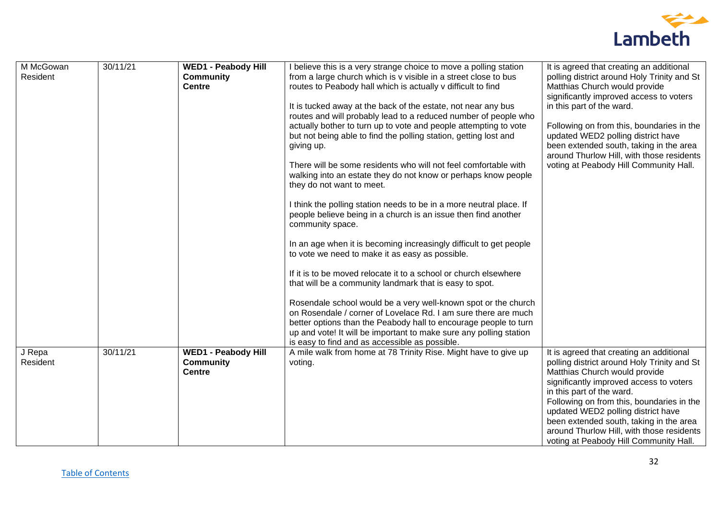

| M McGowan | 30/11/21 | <b>WED1 - Peabody Hill</b> | I believe this is a very strange choice to move a polling station                                                           | It is agreed that creating an additional                                      |
|-----------|----------|----------------------------|-----------------------------------------------------------------------------------------------------------------------------|-------------------------------------------------------------------------------|
| Resident  |          | <b>Community</b>           | from a large church which is v visible in a street close to bus                                                             | polling district around Holy Trinity and St                                   |
|           |          | <b>Centre</b>              | routes to Peabody hall which is actually v difficult to find                                                                | Matthias Church would provide<br>significantly improved access to voters      |
|           |          |                            | It is tucked away at the back of the estate, not near any bus                                                               | in this part of the ward.                                                     |
|           |          |                            | routes and will probably lead to a reduced number of people who                                                             |                                                                               |
|           |          |                            | actually bother to turn up to vote and people attempting to vote                                                            | Following on from this, boundaries in the                                     |
|           |          |                            | but not being able to find the polling station, getting lost and                                                            | updated WED2 polling district have<br>been extended south, taking in the area |
|           |          |                            | giving up.                                                                                                                  | around Thurlow Hill, with those residents                                     |
|           |          |                            | There will be some residents who will not feel comfortable with                                                             | voting at Peabody Hill Community Hall.                                        |
|           |          |                            | walking into an estate they do not know or perhaps know people                                                              |                                                                               |
|           |          |                            | they do not want to meet.                                                                                                   |                                                                               |
|           |          |                            | I think the polling station needs to be in a more neutral place. If                                                         |                                                                               |
|           |          |                            | people believe being in a church is an issue then find another                                                              |                                                                               |
|           |          |                            | community space.                                                                                                            |                                                                               |
|           |          |                            | In an age when it is becoming increasingly difficult to get people                                                          |                                                                               |
|           |          |                            | to vote we need to make it as easy as possible.                                                                             |                                                                               |
|           |          |                            |                                                                                                                             |                                                                               |
|           |          |                            | If it is to be moved relocate it to a school or church elsewhere<br>that will be a community landmark that is easy to spot. |                                                                               |
|           |          |                            |                                                                                                                             |                                                                               |
|           |          |                            | Rosendale school would be a very well-known spot or the church                                                              |                                                                               |
|           |          |                            | on Rosendale / corner of Lovelace Rd. I am sure there are much                                                              |                                                                               |
|           |          |                            | better options than the Peabody hall to encourage people to turn                                                            |                                                                               |
|           |          |                            | up and vote! It will be important to make sure any polling station<br>is easy to find and as accessible as possible.        |                                                                               |
| J Repa    | 30/11/21 | <b>WED1 - Peabody Hill</b> | A mile walk from home at 78 Trinity Rise. Might have to give up                                                             | It is agreed that creating an additional                                      |
| Resident  |          | <b>Community</b>           | voting.                                                                                                                     | polling district around Holy Trinity and St                                   |
|           |          | <b>Centre</b>              |                                                                                                                             | Matthias Church would provide                                                 |
|           |          |                            |                                                                                                                             | significantly improved access to voters<br>in this part of the ward.          |
|           |          |                            |                                                                                                                             | Following on from this, boundaries in the                                     |
|           |          |                            |                                                                                                                             | updated WED2 polling district have                                            |
|           |          |                            |                                                                                                                             | been extended south, taking in the area                                       |
|           |          |                            |                                                                                                                             | around Thurlow Hill, with those residents                                     |
|           |          |                            |                                                                                                                             | voting at Peabody Hill Community Hall.                                        |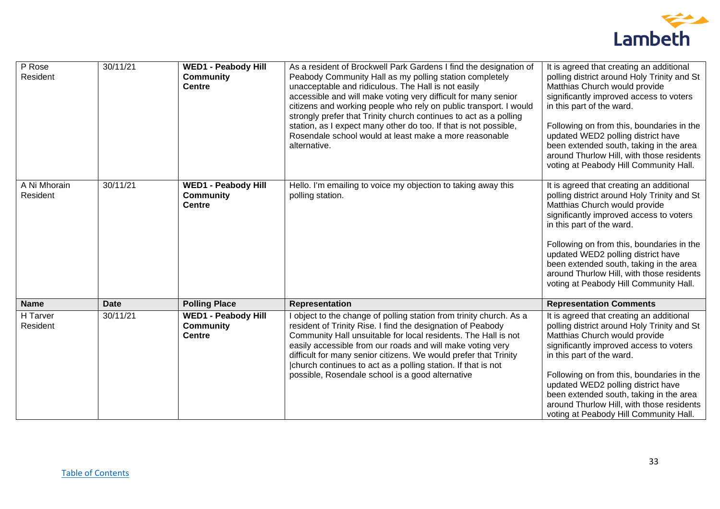

| $P$ Rose                 | 30/11/21    | <b>WED1 - Peabody Hill</b>                                      | As a resident of Brockwell Park Gardens I find the designation of                                                                                                                                                                                                                                                                                                                                                                                                        | It is agreed that creating an additional                                                                                                                                                                                                                                                                                                                                                                              |
|--------------------------|-------------|-----------------------------------------------------------------|--------------------------------------------------------------------------------------------------------------------------------------------------------------------------------------------------------------------------------------------------------------------------------------------------------------------------------------------------------------------------------------------------------------------------------------------------------------------------|-----------------------------------------------------------------------------------------------------------------------------------------------------------------------------------------------------------------------------------------------------------------------------------------------------------------------------------------------------------------------------------------------------------------------|
| Resident                 |             | <b>Community</b><br><b>Centre</b>                               | Peabody Community Hall as my polling station completely<br>unacceptable and ridiculous. The Hall is not easily<br>accessible and will make voting very difficult for many senior<br>citizens and working people who rely on public transport. I would<br>strongly prefer that Trinity church continues to act as a polling<br>station, as I expect many other do too. If that is not possible,<br>Rosendale school would at least make a more reasonable<br>alternative. | polling district around Holy Trinity and St<br>Matthias Church would provide<br>significantly improved access to voters<br>in this part of the ward.<br>Following on from this, boundaries in the<br>updated WED2 polling district have<br>been extended south, taking in the area<br>around Thurlow Hill, with those residents<br>voting at Peabody Hill Community Hall.                                             |
| A Ni Mhorain<br>Resident | 30/11/21    | <b>WED1 - Peabody Hill</b><br><b>Community</b><br><b>Centre</b> | Hello. I'm emailing to voice my objection to taking away this<br>polling station.                                                                                                                                                                                                                                                                                                                                                                                        | It is agreed that creating an additional<br>polling district around Holy Trinity and St<br>Matthias Church would provide<br>significantly improved access to voters<br>in this part of the ward.<br>Following on from this, boundaries in the<br>updated WED2 polling district have<br>been extended south, taking in the area<br>around Thurlow Hill, with those residents<br>voting at Peabody Hill Community Hall. |
| <b>Name</b>              | <b>Date</b> | <b>Polling Place</b>                                            | <b>Representation</b>                                                                                                                                                                                                                                                                                                                                                                                                                                                    | <b>Representation Comments</b>                                                                                                                                                                                                                                                                                                                                                                                        |
| H Tarver<br>Resident     | 30/11/21    | <b>WED1 - Peabody Hill</b><br><b>Community</b><br><b>Centre</b> | I object to the change of polling station from trinity church. As a<br>resident of Trinity Rise. I find the designation of Peabody<br>Community Hall unsuitable for local residents. The Hall is not<br>easily accessible from our roads and will make voting very<br>difficult for many senior citizens. We would prefer that Trinity<br>church continues to act as a polling station. If that is not<br>possible, Rosendale school is a good alternative               | It is agreed that creating an additional<br>polling district around Holy Trinity and St<br>Matthias Church would provide<br>significantly improved access to voters<br>in this part of the ward.<br>Following on from this, boundaries in the<br>updated WED2 polling district have<br>been extended south, taking in the area<br>around Thurlow Hill, with those residents<br>voting at Peabody Hill Community Hall. |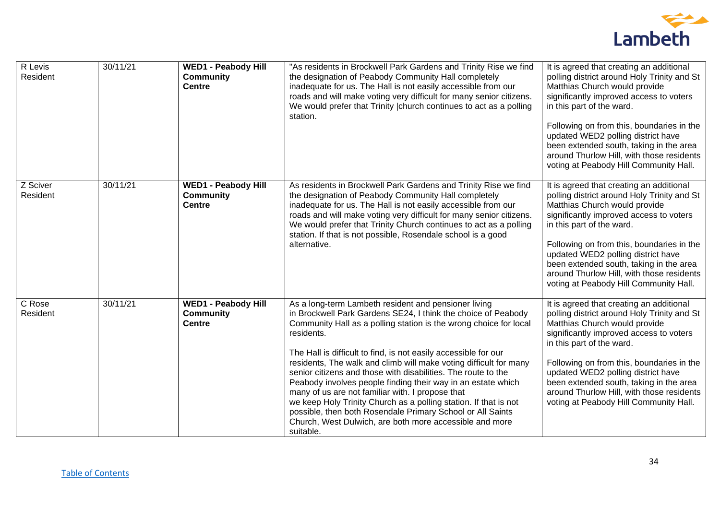

| R Levis<br>Resident  | 30/11/21 | <b>WED1 - Peabody Hill</b><br><b>Community</b><br><b>Centre</b> | "As residents in Brockwell Park Gardens and Trinity Rise we find<br>the designation of Peabody Community Hall completely<br>inadequate for us. The Hall is not easily accessible from our<br>roads and will make voting very difficult for many senior citizens.<br>We would prefer that Trinity   church continues to act as a polling<br>station.                                                                                                                                                                                                                                                                                                                                                                                             | It is agreed that creating an additional<br>polling district around Holy Trinity and St<br>Matthias Church would provide<br>significantly improved access to voters<br>in this part of the ward.<br>Following on from this, boundaries in the<br>updated WED2 polling district have<br>been extended south, taking in the area<br>around Thurlow Hill, with those residents<br>voting at Peabody Hill Community Hall. |
|----------------------|----------|-----------------------------------------------------------------|-------------------------------------------------------------------------------------------------------------------------------------------------------------------------------------------------------------------------------------------------------------------------------------------------------------------------------------------------------------------------------------------------------------------------------------------------------------------------------------------------------------------------------------------------------------------------------------------------------------------------------------------------------------------------------------------------------------------------------------------------|-----------------------------------------------------------------------------------------------------------------------------------------------------------------------------------------------------------------------------------------------------------------------------------------------------------------------------------------------------------------------------------------------------------------------|
| Z Sciver<br>Resident | 30/11/21 | <b>WED1 - Peabody Hill</b><br><b>Community</b><br><b>Centre</b> | As residents in Brockwell Park Gardens and Trinity Rise we find<br>the designation of Peabody Community Hall completely<br>inadequate for us. The Hall is not easily accessible from our<br>roads and will make voting very difficult for many senior citizens.<br>We would prefer that Trinity Church continues to act as a polling<br>station. If that is not possible, Rosendale school is a good<br>alternative.                                                                                                                                                                                                                                                                                                                            | It is agreed that creating an additional<br>polling district around Holy Trinity and St<br>Matthias Church would provide<br>significantly improved access to voters<br>in this part of the ward.<br>Following on from this, boundaries in the<br>updated WED2 polling district have<br>been extended south, taking in the area<br>around Thurlow Hill, with those residents<br>voting at Peabody Hill Community Hall. |
| C Rose<br>Resident   | 30/11/21 | <b>WED1 - Peabody Hill</b><br><b>Community</b><br><b>Centre</b> | As a long-term Lambeth resident and pensioner living<br>in Brockwell Park Gardens SE24, I think the choice of Peabody<br>Community Hall as a polling station is the wrong choice for local<br>residents.<br>The Hall is difficult to find, is not easily accessible for our<br>residents, The walk and climb will make voting difficult for many<br>senior citizens and those with disabilities. The route to the<br>Peabody involves people finding their way in an estate which<br>many of us are not familiar with. I propose that<br>we keep Holy Trinity Church as a polling station. If that is not<br>possible, then both Rosendale Primary School or All Saints<br>Church, West Dulwich, are both more accessible and more<br>suitable. | It is agreed that creating an additional<br>polling district around Holy Trinity and St<br>Matthias Church would provide<br>significantly improved access to voters<br>in this part of the ward.<br>Following on from this, boundaries in the<br>updated WED2 polling district have<br>been extended south, taking in the area<br>around Thurlow Hill, with those residents<br>voting at Peabody Hill Community Hall. |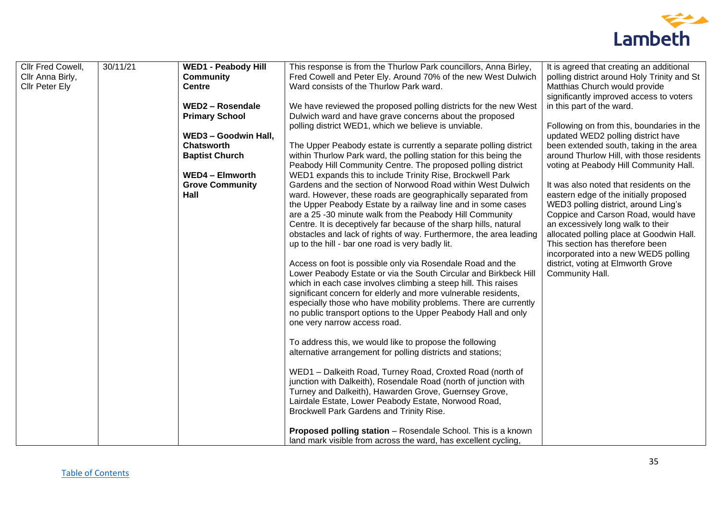

| Cllr Fred Cowell, | 30/11/21 | <b>WED1 - Peabody Hill</b> | This response is from the Thurlow Park councillors, Anna Birley,                                                                 | It is agreed that creating an additional    |
|-------------------|----------|----------------------------|----------------------------------------------------------------------------------------------------------------------------------|---------------------------------------------|
| Cllr Anna Birly,  |          | <b>Community</b>           | Fred Cowell and Peter Ely. Around 70% of the new West Dulwich                                                                    | polling district around Holy Trinity and St |
| Cllr Peter Ely    |          | <b>Centre</b>              | Ward consists of the Thurlow Park ward.                                                                                          | Matthias Church would provide               |
|                   |          |                            |                                                                                                                                  | significantly improved access to voters     |
|                   |          | <b>WED2 - Rosendale</b>    | We have reviewed the proposed polling districts for the new West                                                                 | in this part of the ward.                   |
|                   |          | <b>Primary School</b>      | Dulwich ward and have grave concerns about the proposed                                                                          |                                             |
|                   |          |                            | polling district WED1, which we believe is unviable.                                                                             | Following on from this, boundaries in the   |
|                   |          | WED3 - Goodwin Hall,       |                                                                                                                                  | updated WED2 polling district have          |
|                   |          | <b>Chatsworth</b>          | The Upper Peabody estate is currently a separate polling district                                                                | been extended south, taking in the area     |
|                   |          | <b>Baptist Church</b>      | within Thurlow Park ward, the polling station for this being the                                                                 | around Thurlow Hill, with those residents   |
|                   |          |                            | Peabody Hill Community Centre. The proposed polling district                                                                     | voting at Peabody Hill Community Hall.      |
|                   |          | <b>WED4 - Elmworth</b>     | WED1 expands this to include Trinity Rise, Brockwell Park                                                                        |                                             |
|                   |          | <b>Grove Community</b>     | Gardens and the section of Norwood Road within West Dulwich                                                                      | It was also noted that residents on the     |
|                   |          | Hall                       | ward. However, these roads are geographically separated from                                                                     | eastern edge of the initially proposed      |
|                   |          |                            | the Upper Peabody Estate by a railway line and in some cases                                                                     | WED3 polling district, around Ling's        |
|                   |          |                            | are a 25 -30 minute walk from the Peabody Hill Community                                                                         | Coppice and Carson Road, would have         |
|                   |          |                            | Centre. It is deceptively far because of the sharp hills, natural                                                                | an excessively long walk to their           |
|                   |          |                            | obstacles and lack of rights of way. Furthermore, the area leading                                                               | allocated polling place at Goodwin Hall.    |
|                   |          |                            | up to the hill - bar one road is very badly lit.                                                                                 | This section has therefore been             |
|                   |          |                            |                                                                                                                                  | incorporated into a new WED5 polling        |
|                   |          |                            | Access on foot is possible only via Rosendale Road and the                                                                       | district, voting at Elmworth Grove          |
|                   |          |                            | Lower Peabody Estate or via the South Circular and Birkbeck Hill                                                                 | Community Hall.                             |
|                   |          |                            | which in each case involves climbing a steep hill. This raises<br>significant concern for elderly and more vulnerable residents, |                                             |
|                   |          |                            | especially those who have mobility problems. There are currently                                                                 |                                             |
|                   |          |                            | no public transport options to the Upper Peabody Hall and only                                                                   |                                             |
|                   |          |                            | one very narrow access road.                                                                                                     |                                             |
|                   |          |                            |                                                                                                                                  |                                             |
|                   |          |                            | To address this, we would like to propose the following                                                                          |                                             |
|                   |          |                            | alternative arrangement for polling districts and stations;                                                                      |                                             |
|                   |          |                            |                                                                                                                                  |                                             |
|                   |          |                            | WED1 - Dalkeith Road, Turney Road, Croxted Road (north of                                                                        |                                             |
|                   |          |                            | junction with Dalkeith), Rosendale Road (north of junction with                                                                  |                                             |
|                   |          |                            | Turney and Dalkeith), Hawarden Grove, Guernsey Grove,                                                                            |                                             |
|                   |          |                            | Lairdale Estate, Lower Peabody Estate, Norwood Road,                                                                             |                                             |
|                   |          |                            | Brockwell Park Gardens and Trinity Rise.                                                                                         |                                             |
|                   |          |                            |                                                                                                                                  |                                             |
|                   |          |                            | Proposed polling station - Rosendale School. This is a known                                                                     |                                             |
|                   |          |                            | land mark visible from across the ward, has excellent cycling,                                                                   |                                             |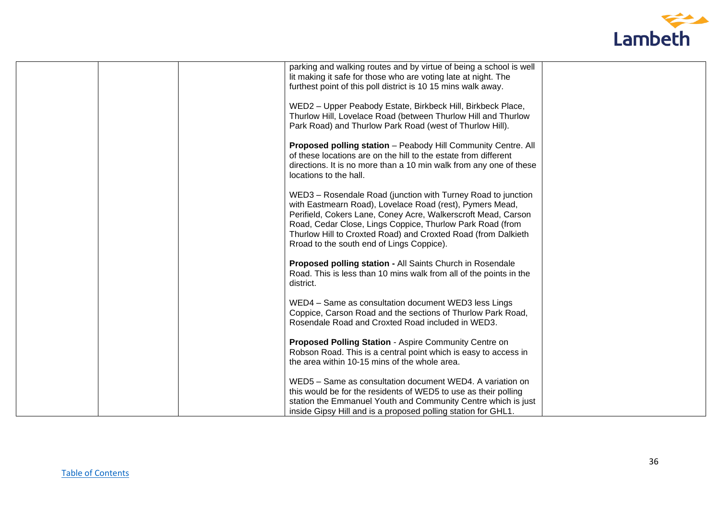

| parking and walking routes and by virtue of being a school is well<br>lit making it safe for those who are voting late at night. The |  |
|--------------------------------------------------------------------------------------------------------------------------------------|--|
| furthest point of this poll district is 10 15 mins walk away.                                                                        |  |
| WED2 - Upper Peabody Estate, Birkbeck Hill, Birkbeck Place,<br>Thurlow Hill, Lovelace Road (between Thurlow Hill and Thurlow         |  |
| Park Road) and Thurlow Park Road (west of Thurlow Hill).                                                                             |  |
| Proposed polling station - Peabody Hill Community Centre. All<br>of these locations are on the hill to the estate from different     |  |
| directions. It is no more than a 10 min walk from any one of these<br>locations to the hall.                                         |  |
| WED3 - Rosendale Road (junction with Turney Road to junction<br>with Eastmearn Road), Lovelace Road (rest), Pymers Mead,             |  |
| Perifield, Cokers Lane, Coney Acre, Walkerscroft Mead, Carson                                                                        |  |
| Road, Cedar Close, Lings Coppice, Thurlow Park Road (from<br>Thurlow Hill to Croxted Road) and Croxted Road (from Dalkieth           |  |
| Rroad to the south end of Lings Coppice).                                                                                            |  |
| Proposed polling station - All Saints Church in Rosendale                                                                            |  |
| Road. This is less than 10 mins walk from all of the points in the<br>district.                                                      |  |
| WED4 - Same as consultation document WED3 less Lings                                                                                 |  |
| Coppice, Carson Road and the sections of Thurlow Park Road,<br>Rosendale Road and Croxted Road included in WED3.                     |  |
|                                                                                                                                      |  |
| Proposed Polling Station - Aspire Community Centre on<br>Robson Road. This is a central point which is easy to access in             |  |
| the area within 10-15 mins of the whole area.                                                                                        |  |
| WED5 - Same as consultation document WED4. A variation on                                                                            |  |
| this would be for the residents of WED5 to use as their polling                                                                      |  |
| station the Emmanuel Youth and Community Centre which is just<br>inside Gipsy Hill and is a proposed polling station for GHL1.       |  |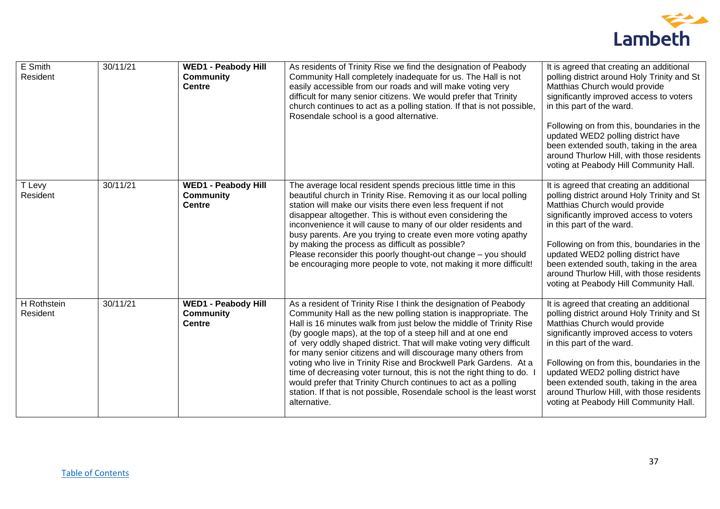

| $\overline{E}$ Smith<br>Resident | 30/11/21 | <b>WED1 - Peabody Hill</b><br><b>Community</b><br><b>Centre</b> | As residents of Trinity Rise we find the designation of Peabody<br>Community Hall completely inadequate for us. The Hall is not<br>easily accessible from our roads and will make voting very<br>difficult for many senior citizens. We would prefer that Trinity<br>church continues to act as a polling station. If that is not possible,<br>Rosendale school is a good alternative.                                                                                                                                                                                                                                                                                                                                  | It is agreed that creating an additional<br>polling district around Holy Trinity and St<br>Matthias Church would provide<br>significantly improved access to voters<br>in this part of the ward.<br>Following on from this, boundaries in the<br>updated WED2 polling district have<br>been extended south, taking in the area<br>around Thurlow Hill, with those residents<br>voting at Peabody Hill Community Hall. |
|----------------------------------|----------|-----------------------------------------------------------------|-------------------------------------------------------------------------------------------------------------------------------------------------------------------------------------------------------------------------------------------------------------------------------------------------------------------------------------------------------------------------------------------------------------------------------------------------------------------------------------------------------------------------------------------------------------------------------------------------------------------------------------------------------------------------------------------------------------------------|-----------------------------------------------------------------------------------------------------------------------------------------------------------------------------------------------------------------------------------------------------------------------------------------------------------------------------------------------------------------------------------------------------------------------|
| Levy<br>Resident                 | 30/11/21 | <b>WED1 - Peabody Hill</b><br><b>Community</b><br><b>Centre</b> | The average local resident spends precious little time in this<br>beautiful church in Trinity Rise. Removing it as our local polling<br>station will make our visits there even less frequent if not<br>disappear altogether. This is without even considering the<br>inconvenience it will cause to many of our older residents and<br>busy parents. Are you trying to create even more voting apathy<br>by making the process as difficult as possible?<br>Please reconsider this poorly thought-out change - you should<br>be encouraging more people to vote, not making it more difficult!                                                                                                                         | It is agreed that creating an additional<br>polling district around Holy Trinity and St<br>Matthias Church would provide<br>significantly improved access to voters<br>in this part of the ward.<br>Following on from this, boundaries in the<br>updated WED2 polling district have<br>been extended south, taking in the area<br>around Thurlow Hill, with those residents<br>voting at Peabody Hill Community Hall. |
| H Rothstein<br>Resident          | 30/11/21 | <b>WED1 - Peabody Hill</b><br><b>Community</b><br><b>Centre</b> | As a resident of Trinity Rise I think the designation of Peabody<br>Community Hall as the new polling station is inappropriate. The<br>Hall is 16 minutes walk from just below the middle of Trinity Rise<br>(by google maps), at the top of a steep hill and at one end<br>of very oddly shaped district. That will make voting very difficult<br>for many senior citizens and will discourage many others from<br>voting who live in Trinity Rise and Brockwell Park Gardens. At a<br>time of decreasing voter turnout, this is not the right thing to do.<br>would prefer that Trinity Church continues to act as a polling<br>station. If that is not possible, Rosendale school is the least worst<br>alternative. | It is agreed that creating an additional<br>polling district around Holy Trinity and St<br>Matthias Church would provide<br>significantly improved access to voters<br>in this part of the ward.<br>Following on from this, boundaries in the<br>updated WED2 polling district have<br>been extended south, taking in the area<br>around Thurlow Hill, with those residents<br>voting at Peabody Hill Community Hall. |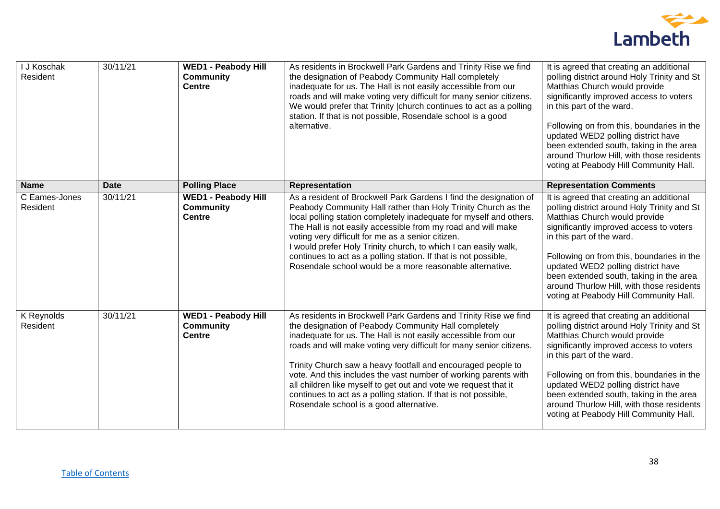

| I J Koschak<br>Resident   | 30/11/21    | <b>WED1 - Peabody Hill</b><br><b>Community</b><br><b>Centre</b> | As residents in Brockwell Park Gardens and Trinity Rise we find<br>the designation of Peabody Community Hall completely<br>inadequate for us. The Hall is not easily accessible from our<br>roads and will make voting very difficult for many senior citizens.<br>We would prefer that Trinity   church continues to act as a polling<br>station. If that is not possible, Rosendale school is a good<br>alternative.                                                                                                                                                              | It is agreed that creating an additional<br>polling district around Holy Trinity and St<br>Matthias Church would provide<br>significantly improved access to voters<br>in this part of the ward.<br>Following on from this, boundaries in the<br>updated WED2 polling district have<br>been extended south, taking in the area<br>around Thurlow Hill, with those residents<br>voting at Peabody Hill Community Hall. |
|---------------------------|-------------|-----------------------------------------------------------------|-------------------------------------------------------------------------------------------------------------------------------------------------------------------------------------------------------------------------------------------------------------------------------------------------------------------------------------------------------------------------------------------------------------------------------------------------------------------------------------------------------------------------------------------------------------------------------------|-----------------------------------------------------------------------------------------------------------------------------------------------------------------------------------------------------------------------------------------------------------------------------------------------------------------------------------------------------------------------------------------------------------------------|
| <b>Name</b>               | <b>Date</b> | <b>Polling Place</b>                                            | Representation                                                                                                                                                                                                                                                                                                                                                                                                                                                                                                                                                                      | <b>Representation Comments</b>                                                                                                                                                                                                                                                                                                                                                                                        |
| C Eames-Jones<br>Resident | 30/11/21    | <b>WED1 - Peabody Hill</b><br><b>Community</b><br><b>Centre</b> | As a resident of Brockwell Park Gardens I find the designation of<br>Peabody Community Hall rather than Holy Trinity Church as the<br>local polling station completely inadequate for myself and others.<br>The Hall is not easily accessible from my road and will make<br>voting very difficult for me as a senior citizen.<br>I would prefer Holy Trinity church, to which I can easily walk,<br>continues to act as a polling station. If that is not possible,<br>Rosendale school would be a more reasonable alternative.                                                     | It is agreed that creating an additional<br>polling district around Holy Trinity and St<br>Matthias Church would provide<br>significantly improved access to voters<br>in this part of the ward.<br>Following on from this, boundaries in the<br>updated WED2 polling district have<br>been extended south, taking in the area<br>around Thurlow Hill, with those residents<br>voting at Peabody Hill Community Hall. |
| K Reynolds<br>Resident    | 30/11/21    | <b>WED1 - Peabody Hill</b><br><b>Community</b><br><b>Centre</b> | As residents in Brockwell Park Gardens and Trinity Rise we find<br>the designation of Peabody Community Hall completely<br>inadequate for us. The Hall is not easily accessible from our<br>roads and will make voting very difficult for many senior citizens.<br>Trinity Church saw a heavy footfall and encouraged people to<br>vote. And this includes the vast number of working parents with<br>all children like myself to get out and vote we request that it<br>continues to act as a polling station. If that is not possible,<br>Rosendale school is a good alternative. | It is agreed that creating an additional<br>polling district around Holy Trinity and St<br>Matthias Church would provide<br>significantly improved access to voters<br>in this part of the ward.<br>Following on from this, boundaries in the<br>updated WED2 polling district have<br>been extended south, taking in the area<br>around Thurlow Hill, with those residents<br>voting at Peabody Hill Community Hall. |